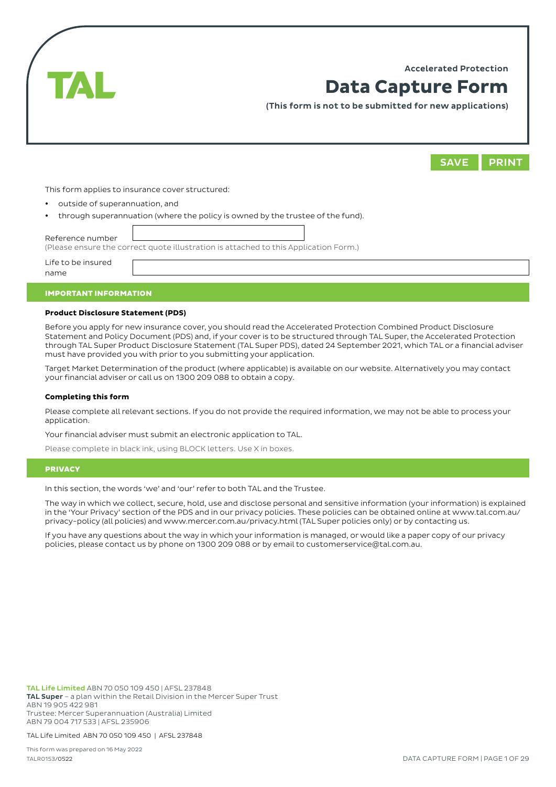Accelerated Protection



# **Data Capture Form**

(This form is not to be submitted for new applications)



This form applies to insurance cover structured:

- outside of superannuation, and
- through superannuation (where the policy is owned by the trustee of the fund).

Reference number (Please ensure the correct quote illustration is attached to this Application Form.) Life to be insured name

#### IMPORTANT INFORMATION

## **Product Disclosure Statement (PDS)**

Before you apply for new insurance cover, you should read the Accelerated Protection Combined Product Disclosure Statement and Policy Document (PDS) and, if your cover is to be structured through TAL Super, the Accelerated Protection through TAL Super Product Disclosure Statement (TAL Super PDS), dated 24 September 2021, which TAL or a financial adviser must have provided you with prior to you submitting your application.

Target Market Determination of the product (where applicable) is available on our website. Alternatively you may contact your financial adviser or call us on 1300 209 088 to obtain a copy.

#### **Completing this form**

Please complete all relevant sections. If you do not provide the required information, we may not be able to process your application.

Your financial adviser must submit an electronic application to TAL.

Please complete in black ink, using BLOCK letters. Use X in boxes.

## **PRIVACY**

In this section, the words 'we' and 'our' refer to both TAL and the Trustee.

The way in which we collect, secure, hold, use and disclose personal and sensitive information (your information) is explained in the 'Your Privacy' section of the PDS and in our privacy policies. These policies can be obtained online at www.tal.com.au/ privacy-policy (all policies) and www.mercer.com.au/privacy.html (TAL Super policies only) or by contacting us.

If you have any questions about the way in which your information is managed, or would like a paper copy of our privacy policies, please contact us by phone on 1300 209 088 or by email to customerservice@tal.com.au.

TAL Life Limited ABN 70 050 109 450 | AFSL 237848 TAL Super – a plan within the Retail Division in the Mercer Super Trust ABN 19 905 422 981 Trustee: Mercer Superannuation (Australia) Limited ABN 79 004 717 533 | AFSL 235906

TAL Life Limited ABN 70 050 109 450 | AFSL 237848

This form was prepared on 16 May 2022 TALR0153/0522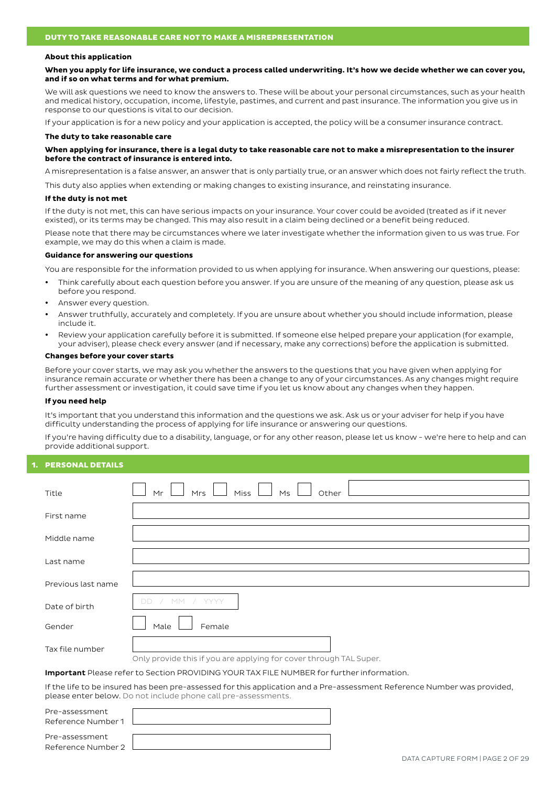#### **About this application**

**When you apply for life insurance, we conduct a process called underwriting. It's how we decide whether we can cover you, and if so on what terms and for what premium.** 

We will ask questions we need to know the answers to. These will be about your personal circumstances, such as your health and medical history, occupation, income, lifestyle, pastimes, and current and past insurance. The information you give us in response to our questions is vital to our decision.

If your application is for a new policy and your application is accepted, the policy will be a consumer insurance contract.

#### **The duty to take reasonable care**

#### **When applying for insurance, there is a legal duty to take reasonable care not to make a misrepresentation to the insurer before the contract of insurance is entered into.**

A misrepresentation is a false answer, an answer that is only partially true, or an answer which does not fairly reflect the truth.

This duty also applies when extending or making changes to existing insurance, and reinstating insurance.

#### **If the duty is not met**

If the duty is not met, this can have serious impacts on your insurance. Your cover could be avoided (treated as if it never existed), or its terms may be changed. This may also result in a claim being declined or a benefit being reduced.

Please note that there may be circumstances where we later investigate whether the information given to us was true. For example, we may do this when a claim is made.

#### **Guidance for answering our questions**

You are responsible for the information provided to us when applying for insurance. When answering our questions, please:

- Think carefully about each question before you answer. If you are unsure of the meaning of any question, please ask us before you respond.
- Answer every question.
- Answer truthfully, accurately and completely. If you are unsure about whether you should include information, please include it.
- Review your application carefully before it is submitted. If someone else helped prepare your application (for example, your adviser), please check every answer (and if necessary, make any corrections) before the application is submitted.

#### **Changes before your cover starts**

Before your cover starts, we may ask you whether the answers to the questions that you have given when applying for insurance remain accurate or whether there has been a change to any of your circumstances. As any changes might require further assessment or investigation, it could save time if you let us know about any changes when they happen.

#### **If you need help**

It's important that you understand this information and the questions we ask. Ask us or your adviser for help if you have difficulty understanding the process of applying for life insurance or answering our questions.

If you're having difficulty due to a disability, language, or for any other reason, please let us know - we're here to help and can provide additional support.

## **PERSONAL DETAILS**

Reference Number 1

Pre-assessment Reference Number 2

| Title                                                                                            | Miss<br>Ms<br>Mrs<br>Other<br>Mr                                                                                                                                                           |  |  |  |
|--------------------------------------------------------------------------------------------------|--------------------------------------------------------------------------------------------------------------------------------------------------------------------------------------------|--|--|--|
|                                                                                                  |                                                                                                                                                                                            |  |  |  |
| First name                                                                                       |                                                                                                                                                                                            |  |  |  |
|                                                                                                  |                                                                                                                                                                                            |  |  |  |
| Middle name                                                                                      |                                                                                                                                                                                            |  |  |  |
|                                                                                                  |                                                                                                                                                                                            |  |  |  |
| Last name                                                                                        |                                                                                                                                                                                            |  |  |  |
|                                                                                                  |                                                                                                                                                                                            |  |  |  |
| Previous last name                                                                               |                                                                                                                                                                                            |  |  |  |
|                                                                                                  |                                                                                                                                                                                            |  |  |  |
| Date of birth                                                                                    | YYYY<br>DD<br>MМ                                                                                                                                                                           |  |  |  |
|                                                                                                  |                                                                                                                                                                                            |  |  |  |
| Gender                                                                                           | Male<br>Female                                                                                                                                                                             |  |  |  |
|                                                                                                  |                                                                                                                                                                                            |  |  |  |
| Tax file number                                                                                  |                                                                                                                                                                                            |  |  |  |
|                                                                                                  | Only provide this if you are applying for cover through TAL Super.                                                                                                                         |  |  |  |
| <b>Important</b> Please refer to Section PROVIDING YOUR TAX FILE NUMBER for further information. |                                                                                                                                                                                            |  |  |  |
|                                                                                                  |                                                                                                                                                                                            |  |  |  |
|                                                                                                  | If the life to be insured has been pre-assessed for this application and a Pre-assessment Reference Number was provided,<br>please enter below. Do not include phone call pre-assessments. |  |  |  |
| Pre-assessment                                                                                   |                                                                                                                                                                                            |  |  |  |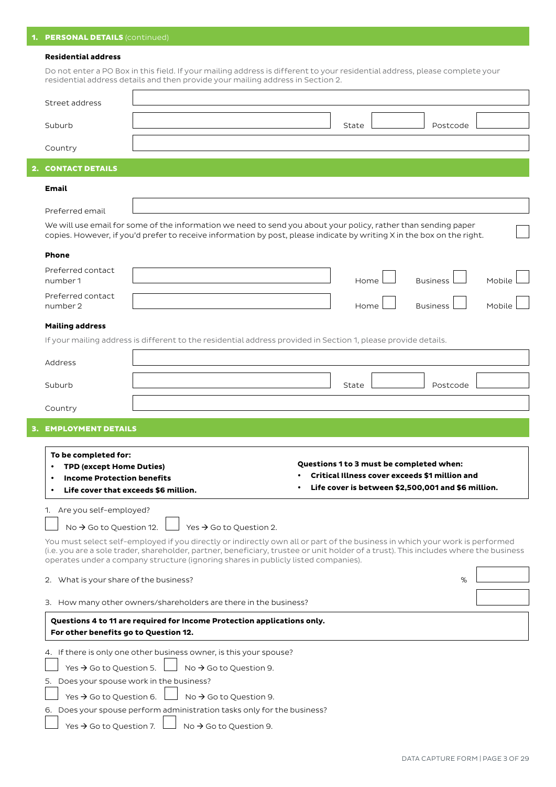# 1. **PERSONAL DETAILS** (continued)

## **Residential address**

Do not enter a PO Box in this field. If your mailing address is different to your residential address, please complete your residential address details and then provide your mailing address in Section 2.

| Street address                                                                                                                                                                                                                                                                                                                                            |                                     |  |       |                                                       |        |
|-----------------------------------------------------------------------------------------------------------------------------------------------------------------------------------------------------------------------------------------------------------------------------------------------------------------------------------------------------------|-------------------------------------|--|-------|-------------------------------------------------------|--------|
| Suburb                                                                                                                                                                                                                                                                                                                                                    |                                     |  | State | Postcode                                              |        |
| Country                                                                                                                                                                                                                                                                                                                                                   |                                     |  |       |                                                       |        |
| <b>CONTACT DETAILS</b>                                                                                                                                                                                                                                                                                                                                    |                                     |  |       |                                                       |        |
| Email                                                                                                                                                                                                                                                                                                                                                     |                                     |  |       |                                                       |        |
| Preferred email                                                                                                                                                                                                                                                                                                                                           |                                     |  |       |                                                       |        |
| We will use email for some of the information we need to send you about your policy, rather than sending paper<br>copies. However, if you'd prefer to receive information by post, please indicate by writing X in the box on the right.                                                                                                                  |                                     |  |       |                                                       |        |
| <b>Phone</b>                                                                                                                                                                                                                                                                                                                                              |                                     |  |       |                                                       |        |
| Preferred contact<br>number 1                                                                                                                                                                                                                                                                                                                             |                                     |  | Home  | <b>Business</b>                                       | Mobile |
| Preferred contact<br>number 2                                                                                                                                                                                                                                                                                                                             |                                     |  | Home  | <b>Business</b>                                       | Mobile |
|                                                                                                                                                                                                                                                                                                                                                           |                                     |  |       |                                                       |        |
| <b>Mailing address</b><br>If your mailing address is different to the residential address provided in Section 1, please provide details.                                                                                                                                                                                                                  |                                     |  |       |                                                       |        |
|                                                                                                                                                                                                                                                                                                                                                           |                                     |  |       |                                                       |        |
| Address                                                                                                                                                                                                                                                                                                                                                   |                                     |  |       |                                                       |        |
| Suburb                                                                                                                                                                                                                                                                                                                                                    |                                     |  | State | Postcode                                              |        |
| Country                                                                                                                                                                                                                                                                                                                                                   |                                     |  |       |                                                       |        |
| <b>EMPLOYMENT DETAILS</b>                                                                                                                                                                                                                                                                                                                                 |                                     |  |       |                                                       |        |
|                                                                                                                                                                                                                                                                                                                                                           |                                     |  |       |                                                       |        |
| To be completed for:                                                                                                                                                                                                                                                                                                                                      |                                     |  |       | Questions 1 to 3 must be completed when:              |        |
| <b>TPD (except Home Duties)</b><br><b>Income Protection benefits</b>                                                                                                                                                                                                                                                                                      |                                     |  |       | <b>Critical Illness cover exceeds \$1 million and</b> |        |
| Life cover that exceeds \$6 million.                                                                                                                                                                                                                                                                                                                      |                                     |  |       | Life cover is between \$2,500,001 and \$6 million.    |        |
| 1. Are you self-employed?                                                                                                                                                                                                                                                                                                                                 |                                     |  |       |                                                       |        |
| No $\rightarrow$ Go to Question 12.                                                                                                                                                                                                                                                                                                                       | Yes $\rightarrow$ Go to Question 2. |  |       |                                                       |        |
| You must select self-employed if you directly or indirectly own all or part of the business in which your work is performed<br>(i.e. you are a sole trader, shareholder, partner, beneficiary, trustee or unit holder of a trust). This includes where the business<br>operates under a company structure (ignoring shares in publicly listed companies). |                                     |  |       |                                                       |        |
|                                                                                                                                                                                                                                                                                                                                                           |                                     |  |       |                                                       |        |
| 2. What is your share of the business?                                                                                                                                                                                                                                                                                                                    |                                     |  |       | %                                                     |        |
| 3. How many other owners/shareholders are there in the business?                                                                                                                                                                                                                                                                                          |                                     |  |       |                                                       |        |
| Questions 4 to 11 are required for Income Protection applications only.<br>For other benefits go to Question 12.                                                                                                                                                                                                                                          |                                     |  |       |                                                       |        |
| 4. If there is only one other business owner, is this your spouse?                                                                                                                                                                                                                                                                                        |                                     |  |       |                                                       |        |
| Yes $\rightarrow$ Go to Question 5.                                                                                                                                                                                                                                                                                                                       | No $\rightarrow$ Go to Question 9.  |  |       |                                                       |        |
|                                                                                                                                                                                                                                                                                                                                                           |                                     |  |       |                                                       |        |
| 5. Does your spouse work in the business?                                                                                                                                                                                                                                                                                                                 |                                     |  |       |                                                       |        |
| Yes $\rightarrow$ Go to Question 6.                                                                                                                                                                                                                                                                                                                       | No $\rightarrow$ Go to Question 9.  |  |       |                                                       |        |
| 6. Does your spouse perform administration tasks only for the business?                                                                                                                                                                                                                                                                                   |                                     |  |       |                                                       |        |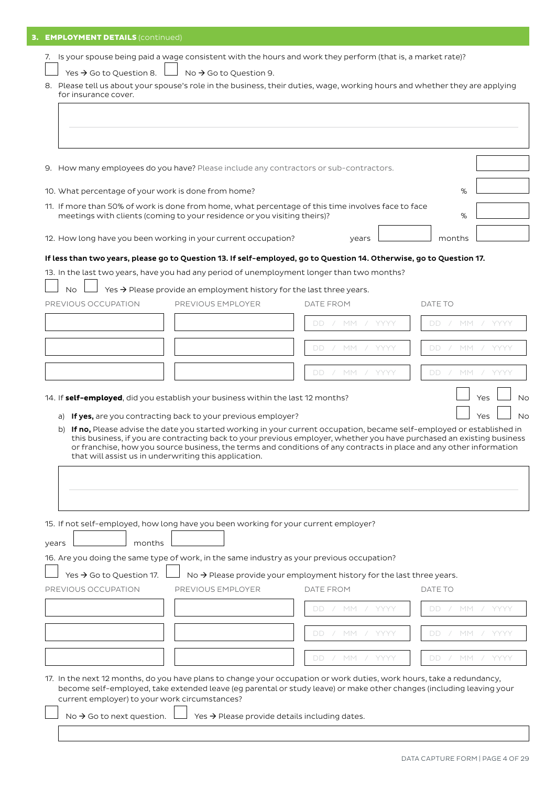| <b>3. EMPLOYMENT DETAILS (continued)</b>                                                                                                            |                                                                                                                                                                                                                                                                                                       |                                                                       |                    |  |
|-----------------------------------------------------------------------------------------------------------------------------------------------------|-------------------------------------------------------------------------------------------------------------------------------------------------------------------------------------------------------------------------------------------------------------------------------------------------------|-----------------------------------------------------------------------|--------------------|--|
|                                                                                                                                                     |                                                                                                                                                                                                                                                                                                       |                                                                       |                    |  |
|                                                                                                                                                     | 7. Is your spouse being paid a wage consistent with the hours and work they perform (that is, a market rate)?                                                                                                                                                                                         |                                                                       |                    |  |
| Yes $\rightarrow$ Go to Question 8.                                                                                                                 | No $\rightarrow$ Go to Question 9.                                                                                                                                                                                                                                                                    |                                                                       |                    |  |
| 8. Please tell us about your spouse's role in the business, their duties, wage, working hours and whether they are applying<br>for insurance cover. |                                                                                                                                                                                                                                                                                                       |                                                                       |                    |  |
|                                                                                                                                                     |                                                                                                                                                                                                                                                                                                       |                                                                       |                    |  |
|                                                                                                                                                     |                                                                                                                                                                                                                                                                                                       |                                                                       |                    |  |
|                                                                                                                                                     |                                                                                                                                                                                                                                                                                                       |                                                                       |                    |  |
|                                                                                                                                                     |                                                                                                                                                                                                                                                                                                       |                                                                       |                    |  |
|                                                                                                                                                     | 9. How many employees do you have? Please include any contractors or sub-contractors.                                                                                                                                                                                                                 |                                                                       |                    |  |
| 10. What percentage of your work is done from home?                                                                                                 |                                                                                                                                                                                                                                                                                                       |                                                                       | %                  |  |
|                                                                                                                                                     | 11. If more than 50% of work is done from home, what percentage of this time involves face to face                                                                                                                                                                                                    |                                                                       |                    |  |
|                                                                                                                                                     | meetings with clients (coming to your residence or you visiting theirs)?                                                                                                                                                                                                                              |                                                                       | %                  |  |
|                                                                                                                                                     | 12. How long have you been working in your current occupation?                                                                                                                                                                                                                                        | vears                                                                 | months             |  |
|                                                                                                                                                     |                                                                                                                                                                                                                                                                                                       |                                                                       |                    |  |
|                                                                                                                                                     |                                                                                                                                                                                                                                                                                                       | DD / MM / YYYY                                                        | DD / MM / YYYY     |  |
|                                                                                                                                                     |                                                                                                                                                                                                                                                                                                       |                                                                       |                    |  |
|                                                                                                                                                     |                                                                                                                                                                                                                                                                                                       | / MM / YYYY<br>DD.                                                    | DD / MM / YYYY     |  |
|                                                                                                                                                     |                                                                                                                                                                                                                                                                                                       | DD.<br>/ MM / YYYY                                                    | DD.<br>/ MM / YYYY |  |
|                                                                                                                                                     | this business, if you are contracting back to your previous employer, whether you have purchased an existing business<br>or franchise, how you source business, the terms and conditions of any contracts in place and any other information<br>that will assist us in underwriting this application. |                                                                       |                    |  |
| months                                                                                                                                              | 15. If not self-employed, how long have you been working for your current employer?                                                                                                                                                                                                                   |                                                                       |                    |  |
|                                                                                                                                                     | 16. Are you doing the same type of work, in the same industry as your previous occupation?                                                                                                                                                                                                            |                                                                       |                    |  |
| Yes $\rightarrow$ Go to Question 17.                                                                                                                |                                                                                                                                                                                                                                                                                                       | No → Please provide your employment history for the last three years. |                    |  |
|                                                                                                                                                     | PREVIOUS EMPLOYER                                                                                                                                                                                                                                                                                     | DATE FROM                                                             | DATE TO            |  |
|                                                                                                                                                     |                                                                                                                                                                                                                                                                                                       | DD / MM / YYYY                                                        | DD / MM / YYYY     |  |
|                                                                                                                                                     |                                                                                                                                                                                                                                                                                                       |                                                                       |                    |  |
|                                                                                                                                                     |                                                                                                                                                                                                                                                                                                       | DD / MM / YYYY                                                        | DD / MM / YYYY     |  |
| years<br>PREVIOUS OCCUPATION                                                                                                                        |                                                                                                                                                                                                                                                                                                       | DD / MM / YYYY                                                        | DD / MM / YYYY     |  |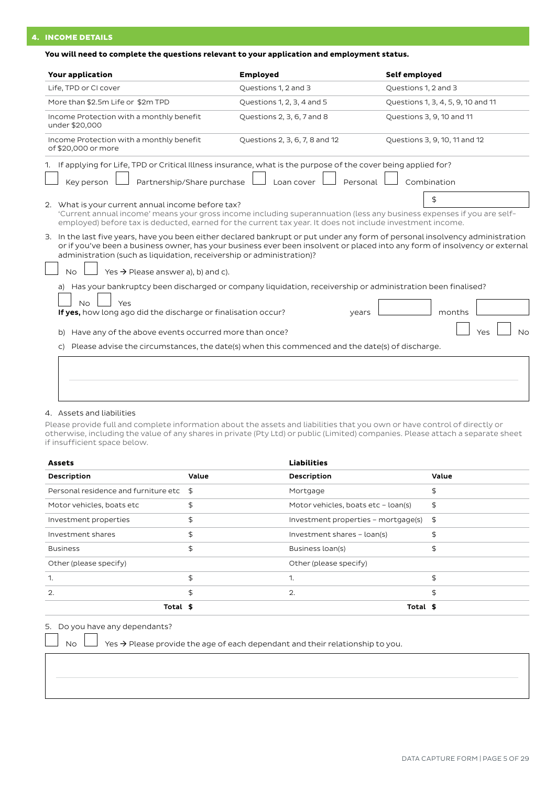# 4. INCOME DETAILS

## **You will need to complete the questions relevant to your application and employment status.**

| <b>Your application</b>                                                                                                                                                                                                                                                                                                                                                                              | <b>Employed</b>                | Self employed                      |
|------------------------------------------------------------------------------------------------------------------------------------------------------------------------------------------------------------------------------------------------------------------------------------------------------------------------------------------------------------------------------------------------------|--------------------------------|------------------------------------|
| Life, TPD or CI cover                                                                                                                                                                                                                                                                                                                                                                                | Questions 1, 2 and 3           | Questions 1, 2 and 3               |
| More than \$2.5m Life or \$2m TPD                                                                                                                                                                                                                                                                                                                                                                    | Questions 1, 2, 3, 4 and 5     | Questions 1, 3, 4, 5, 9, 10 and 11 |
| Income Protection with a monthly benefit<br>under \$20,000                                                                                                                                                                                                                                                                                                                                           | Questions 2, 3, 6, 7 and 8     | Questions 3, 9, 10 and 11          |
| Income Protection with a monthly benefit<br>of \$20,000 or more                                                                                                                                                                                                                                                                                                                                      | Questions 2, 3, 6, 7, 8 and 12 | Questions 3, 9, 10, 11 and 12      |
| 1. If applying for Life, TPD or Critical Illness insurance, what is the purpose of the cover being applied for?<br>Partnership/Share purchase<br>Key person                                                                                                                                                                                                                                          | Loan cover<br>Personal         | Combination                        |
| 2. What is your current annual income before tax?<br>'Current annual income' means your gross income including superannuation (less any business expenses if you are self-<br>employed) before tax is deducted, earned for the current tax year. It does not include investment income.                                                                                                              |                                | \$                                 |
| 3. In the last five years, have you been either declared bankrupt or put under any form of personal insolvency administration<br>or if you've been a business owner, has your business ever been insolvent or placed into any form of insolvency or external<br>administration (such as liquidation, receivership or administration)?<br>Yes $\rightarrow$ Please answer a), b) and c).<br><b>No</b> |                                |                                    |
| a) Has your bankruptcy been discharged or company liquidation, receivership or administration been finalised?<br>Yes<br>NΩ<br>If yes, how long ago did the discharge or finalisation occur?                                                                                                                                                                                                          | years                          | months                             |
| Have any of the above events occurred more than once?<br>b)                                                                                                                                                                                                                                                                                                                                          |                                | No<br>Yes                          |
| Please advise the circumstances, the date(s) when this commenced and the date(s) of discharge.<br>C)                                                                                                                                                                                                                                                                                                 |                                |                                    |
|                                                                                                                                                                                                                                                                                                                                                                                                      |                                |                                    |

## 4. Assets and liabilities

Please provide full and complete information about the assets and liabilities that you own or have control of directly or otherwise, including the value of any shares in private (Pty Ltd) or public (Limited) companies. Please attach a separate sheet if insufficient space below.

| <b>Assets</b>                           |       | <b>Liabilities</b>                  |       |
|-----------------------------------------|-------|-------------------------------------|-------|
| Description                             | Value | Description                         | Value |
| Personal residence and furniture etc \$ |       | Mortgage                            | \$    |
| Motor vehicles, boats etc               | \$    | Motor vehicles, boats etc - loan(s) | \$    |
| Investment properties                   | \$    | Investment properties - mortgage(s) | \$    |
| Investment shares                       | \$    | Investment shares - loan(s)         | \$    |
| <b>Business</b>                         | \$    | Business loan(s)                    | \$    |
| Other (please specify)                  |       | Other (please specify)              |       |
|                                         | \$    | 1.                                  | \$    |
| $\overline{2}$ .                        | \$    | $\mathbf{2}$                        | \$    |
| Total \$                                |       | Total \$                            |       |

5. Do you have any dependants?

No  $\Box$  Yes  $\rightarrow$  Please provide the age of each dependant and their relationship to you.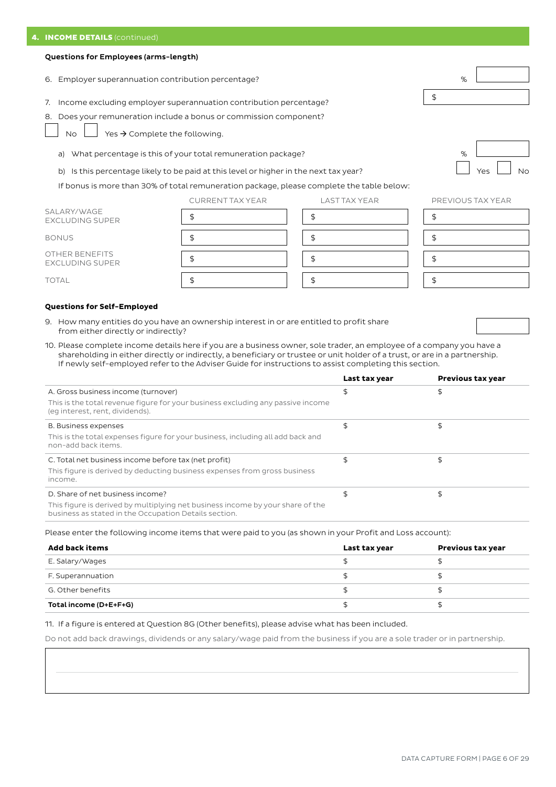## Questions for Employees (arms-length)

- 6. Employer superannuation contribution percentage? %
- 7. Income excluding employer superannuation contribution percentage? \$

8. Does your remuneration include a bonus or commission component?

No  $\Box$  Yes  $\rightarrow$  Complete the following.

- a) What percentage is this of your total remuneration package?
- b) Is this percentage likely to be paid at this level or higher in the next tax year?

If bonus is more than 30% of total remuneration package, please complete the table below:

CURRENT TAX YEAR LAST TAX YEAR

|                                          | CONNEIXE TAX LEAIN | LAJI IAA I LAIN | <b>FINL VI</b> |
|------------------------------------------|--------------------|-----------------|----------------|
| SALARY/WAGE<br><b>EXCLUDING SUPER</b>    |                    |                 |                |
| <b>BONUS</b>                             |                    |                 |                |
| OTHER BENEFITS<br><b>EXCLUDING SUPER</b> |                    |                 |                |
| <b>TOTAL</b>                             |                    |                 |                |

## **Questions for Self-Employed**

- 9. How many entities do you have an ownership interest in or are entitled to profit share from either directly or indirectly?
- 10. Please complete income details here if you are a business owner, sole trader, an employee of a company you have a shareholding in either directly or indirectly, a beneficiary or trustee or unit holder of a trust, or are in a partnership. If newly self-employed refer to the Adviser Guide for instructions to assist completing this section.

|                                                                                                                                         | Last tax year | <b>Previous tax year</b> |
|-----------------------------------------------------------------------------------------------------------------------------------------|---------------|--------------------------|
| A. Gross business income (turnover)                                                                                                     | \$            |                          |
| This is the total revenue figure for your business excluding any passive income<br>(eq interest, rent, dividends).                      |               |                          |
| <b>B. Business expenses</b>                                                                                                             | \$            |                          |
| This is the total expenses figure for your business, including all add back and<br>non-add back items.                                  |               |                          |
| C. Total net business income before tax (net profit)                                                                                    | \$            |                          |
| This figure is derived by deducting business expenses from gross business<br>income.                                                    |               |                          |
| D. Share of net business income?                                                                                                        | \$            |                          |
| This figure is derived by multiplying net business income by your share of the<br>business as stated in the Occupation Details section. |               |                          |

Please enter the following income items that were paid to you (as shown in your Profit and Loss account):

| Add back items         | Last tax year | <b>Previous tax year</b> |
|------------------------|---------------|--------------------------|
| E. Salary/Wages        |               |                          |
| F. Superannuation      |               |                          |
| G. Other benefits      |               |                          |
| Total income (D+E+F+G) |               |                          |

#### 11. If a figure is entered at Question 8G (Other benefits), please advise what has been included.

Do not add back drawings, dividends or any salary/wage paid from the business if you are a sole trader or in partnership.



|  |  | PREVIOUS TAX YEAR |
|--|--|-------------------|

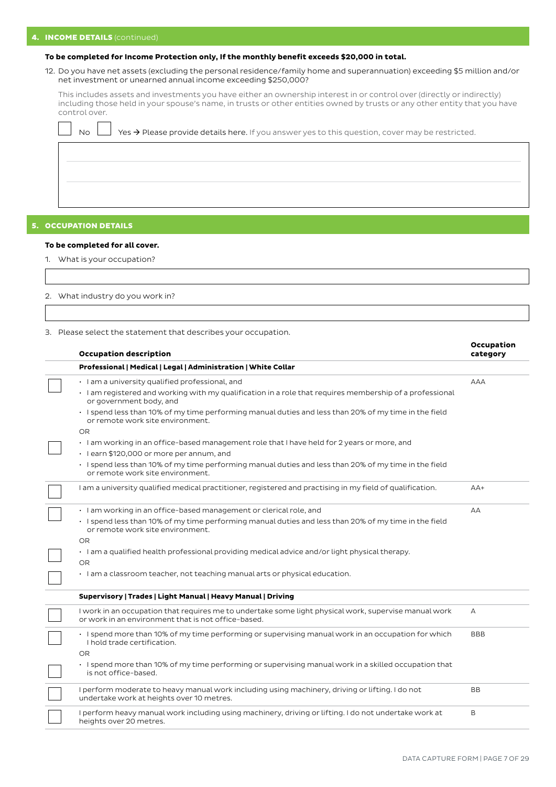# 4. **INCOME DETAILS** (continued)

## **To be completed for Income Protection only, If the monthly benefit exceeds \$20,000 in total.**

12. Do you have net assets (excluding the personal residence/family home and superannuation) exceeding \$5 million and/or net investment or unearned annual income exceeding \$250,000?

This includes assets and investments you have either an ownership interest in or control over (directly or indirectly) including those held in your spouse's name, in trusts or other entities owned by trusts or any other entity that you have control over.

| No $\Box$ Yes $\rightarrow$ Please provide details here. If you answer yes to this question, cover may be restricted. |  |
|-----------------------------------------------------------------------------------------------------------------------|--|
|                                                                                                                       |  |
|                                                                                                                       |  |
|                                                                                                                       |  |

## 5. OCCUPATION DETAILS

#### **To be completed for all cover.**

1. What is your occupation?

2. What industry do you work in?

3. Please select the statement that describes your occupation.

| <b>Occupation description</b>                                                                                                                                | Occupation<br>category |
|--------------------------------------------------------------------------------------------------------------------------------------------------------------|------------------------|
| Professional   Medical   Legal   Administration   White Collar                                                                                               |                        |
| · I am a university qualified professional, and                                                                                                              | <b>AAA</b>             |
| · I am registered and working with my qualification in a role that requires membership of a professional<br>or government body, and                          |                        |
| · I spend less than 10% of my time performing manual duties and less than 20% of my time in the field<br>or remote work site environment.                    |                        |
| OR.                                                                                                                                                          |                        |
| · I am working in an office-based management role that I have held for 2 years or more, and                                                                  |                        |
| · I earn \$120,000 or more per annum, and                                                                                                                    |                        |
| · I spend less than 10% of my time performing manual duties and less than 20% of my time in the field<br>or remote work site environment.                    |                        |
| I am a university qualified medical practitioner, registered and practising in my field of qualification.                                                    | $AA+$                  |
| · I am working in an office-based management or clerical role, and                                                                                           | AA                     |
| · I spend less than 10% of my time performing manual duties and less than 20% of my time in the field<br>or remote work site environment.                    |                        |
| <b>OR</b>                                                                                                                                                    |                        |
| · I am a qualified health professional providing medical advice and/or light physical therapy.<br><b>OR</b>                                                  |                        |
| · I am a classroom teacher, not teaching manual arts or physical education.                                                                                  |                        |
| Supervisory   Trades   Light Manual   Heavy Manual   Driving                                                                                                 |                        |
| I work in an occupation that requires me to undertake some light physical work, supervise manual work<br>or work in an environment that is not office-based. | А                      |
| . I spend more than 10% of my time performing or supervising manual work in an occupation for which<br>I hold trade certification.                           | <b>BBB</b>             |
| <b>OR</b>                                                                                                                                                    |                        |
| · I spend more than 10% of my time performing or supervising manual work in a skilled occupation that<br>is not office-based.                                |                        |
| I perform moderate to heavy manual work including using machinery, driving or lifting. I do not<br>undertake work at heights over 10 metres.                 | BB                     |
| I perform heavy manual work including using machinery, driving or lifting. I do not undertake work at<br>heights over 20 metres.                             | B                      |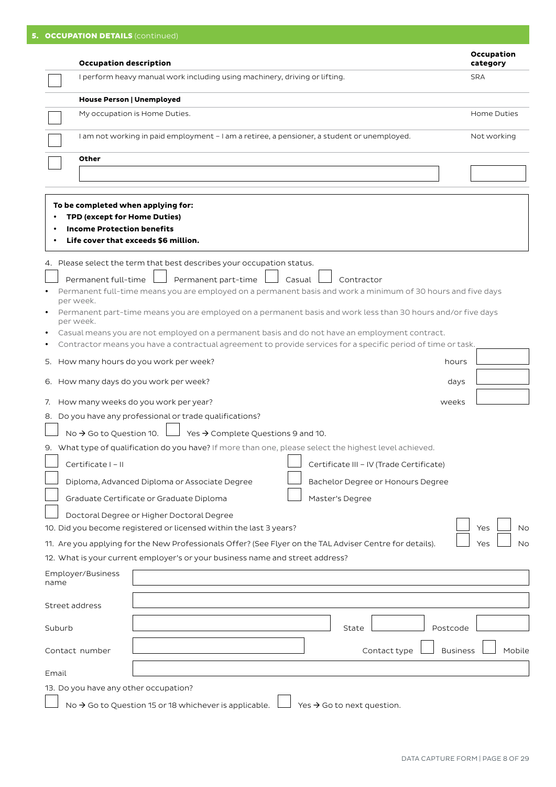|                | <b>Occupation description</b>                                                                                                                                                                                  | Occupation<br>category |
|----------------|----------------------------------------------------------------------------------------------------------------------------------------------------------------------------------------------------------------|------------------------|
|                | I perform heavy manual work including using machinery, driving or lifting.                                                                                                                                     | <b>SRA</b>             |
|                | <b>House Person   Unemployed</b>                                                                                                                                                                               |                        |
|                | My occupation is Home Duties.                                                                                                                                                                                  | Home Duties            |
|                | I am not working in paid employment - I am a retiree, a pensioner, a student or unemployed.                                                                                                                    | Not working            |
|                | Other                                                                                                                                                                                                          |                        |
|                |                                                                                                                                                                                                                |                        |
|                |                                                                                                                                                                                                                |                        |
|                | To be completed when applying for:                                                                                                                                                                             |                        |
|                | TPD (except for Home Duties)                                                                                                                                                                                   |                        |
|                | <b>Income Protection benefits</b><br>Life cover that exceeds \$6 million.                                                                                                                                      |                        |
|                |                                                                                                                                                                                                                |                        |
|                | 4. Please select the term that best describes your occupation status.                                                                                                                                          |                        |
|                | Permanent full-time<br>Permanent part-time<br>Casual<br>Contractor                                                                                                                                             |                        |
|                | Permanent full-time means you are employed on a permanent basis and work a minimum of 30 hours and five days                                                                                                   |                        |
|                | per week.<br>Permanent part-time means you are employed on a permanent basis and work less than 30 hours and/or five days                                                                                      |                        |
|                | per week.                                                                                                                                                                                                      |                        |
|                | Casual means you are not employed on a permanent basis and do not have an employment contract.<br>Contractor means you have a contractual agreement to provide services for a specific period of time or task. |                        |
|                | 5. How many hours do you work per week?<br>hours                                                                                                                                                               |                        |
|                |                                                                                                                                                                                                                |                        |
|                | 6. How many days do you work per week?<br>days                                                                                                                                                                 |                        |
| 7.             | How many weeks do you work per year?<br>weeks                                                                                                                                                                  |                        |
|                | 8. Do you have any professional or trade qualifications?                                                                                                                                                       |                        |
|                | Yes $\rightarrow$ Complete Questions 9 and 10.<br>No $\rightarrow$ Go to Question 10.                                                                                                                          |                        |
|                | 9. What type of qualification do you have? If more than one, please select the highest level achieved.                                                                                                         |                        |
|                | Certificate I - II<br>Certificate III - IV (Trade Certificate)                                                                                                                                                 |                        |
|                | Diploma, Advanced Diploma or Associate Degree<br>Bachelor Degree or Honours Degree                                                                                                                             |                        |
|                | Graduate Certificate or Graduate Diploma<br>Master's Degree                                                                                                                                                    |                        |
|                | Doctoral Degree or Higher Doctoral Degree                                                                                                                                                                      |                        |
|                | 10. Did you become registered or licensed within the last 3 years?                                                                                                                                             | Yes<br><b>No</b>       |
|                | 11. Are you applying for the New Professionals Offer? (See Flyer on the TAL Adviser Centre for details).                                                                                                       | Yes<br><b>No</b>       |
|                | 12. What is your current employer's or your business name and street address?                                                                                                                                  |                        |
| name           | Employer/Business                                                                                                                                                                                              |                        |
|                |                                                                                                                                                                                                                |                        |
| Street address |                                                                                                                                                                                                                |                        |
| Suburb         | Postcode<br>State                                                                                                                                                                                              |                        |
|                | <b>Business</b><br>Contact number<br>Contact type                                                                                                                                                              | Mobile                 |
|                |                                                                                                                                                                                                                |                        |
| Email          |                                                                                                                                                                                                                |                        |
|                | 13. Do you have any other occupation?                                                                                                                                                                          |                        |
|                | No → Go to Question 15 or 18 whichever is applicable.<br>Yes $\rightarrow$ Go to next question.                                                                                                                |                        |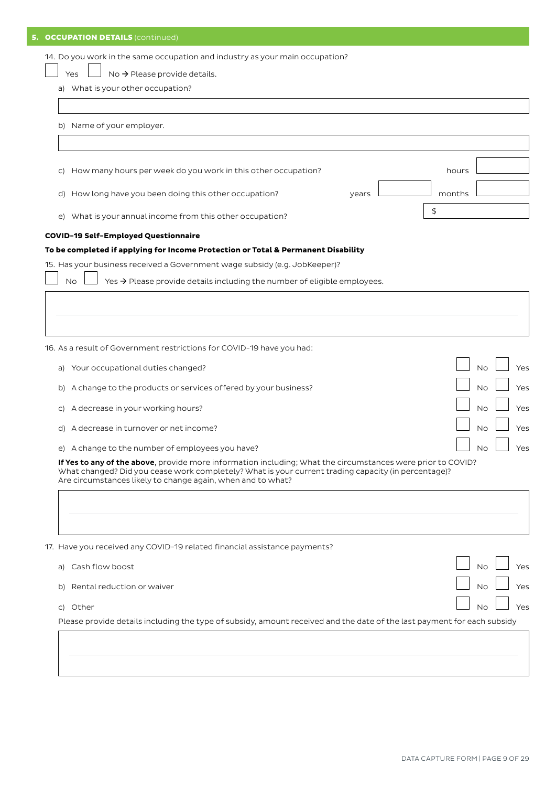| <b>OCCUPATION DETAILS (continued)</b><br>5.                                                                                                                                                                                                                                                                                           |                               |
|---------------------------------------------------------------------------------------------------------------------------------------------------------------------------------------------------------------------------------------------------------------------------------------------------------------------------------------|-------------------------------|
| 14. Do you work in the same occupation and industry as your main occupation?<br>No $\rightarrow$ Please provide details.<br>Yes<br>a) What is your other occupation?                                                                                                                                                                  |                               |
| b) Name of your employer.                                                                                                                                                                                                                                                                                                             |                               |
| How many hours per week do you work in this other occupation?<br>C)                                                                                                                                                                                                                                                                   | hours                         |
| d) How long have you been doing this other occupation?<br>years<br>e) What is your annual income from this other occupation?                                                                                                                                                                                                          | months<br>\$                  |
| <b>COVID-19 Self-Employed Questionnaire</b><br>To be completed if applying for Income Protection or Total & Permanent Disability<br>15. Has your business received a Government wage subsidy (e.g. JobKeeper)?<br>Yes $\rightarrow$ Please provide details including the number of eligible employees.<br><b>No</b>                   |                               |
|                                                                                                                                                                                                                                                                                                                                       |                               |
| 16. As a result of Government restrictions for COVID-19 have you had:<br>Your occupational duties changed?<br>a)                                                                                                                                                                                                                      | <b>No</b><br>Yes              |
| b) A change to the products or services offered by your business?<br>A decrease in your working hours?<br>C)                                                                                                                                                                                                                          | <b>No</b><br>Yes<br>Νo<br>Yes |
| d) A decrease in turnover or net income?                                                                                                                                                                                                                                                                                              | Νo<br>Yes                     |
| e) A change to the number of employees you have?<br>If Yes to any of the above, provide more information including; What the circumstances were prior to COVID?<br>What changed? Did you cease work completely? What is your current trading capacity (in percentage)?<br>Are circumstances likely to change again, when and to what? | $\Box$ No $\Box$<br>Yes       |
|                                                                                                                                                                                                                                                                                                                                       |                               |
| 17. Have you received any COVID-19 related financial assistance payments?                                                                                                                                                                                                                                                             |                               |
| a) Cash flow boost                                                                                                                                                                                                                                                                                                                    | Yes<br><b>No</b>              |
| b) Rental reduction or waiver                                                                                                                                                                                                                                                                                                         | <b>No</b><br>Yes              |
| c) Other<br>Please provide details including the type of subsidy, amount received and the date of the last payment for each subsidy                                                                                                                                                                                                   | <b>No</b><br>Yes              |
|                                                                                                                                                                                                                                                                                                                                       |                               |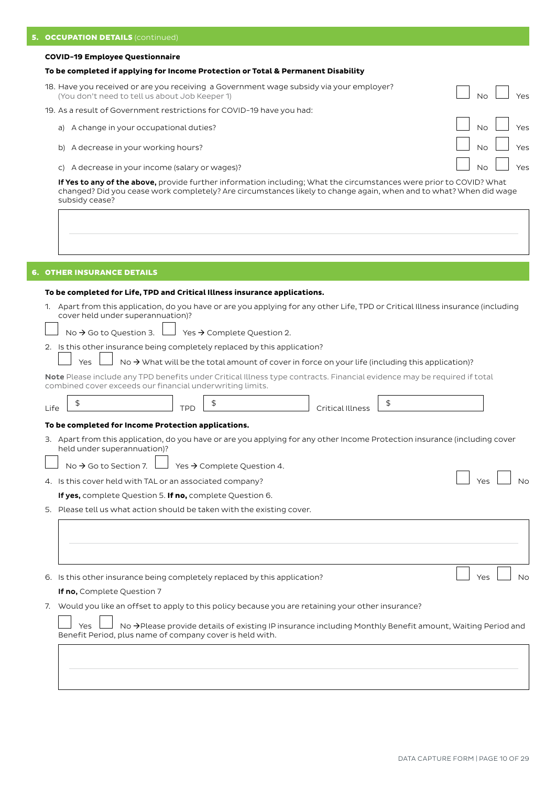#### **COVID-19 Employee Questionnaire**

## **To be completed if applying for Income Protection or Total & Permanent Disability**

- 18. Have you received or are you receiving a Government wage subsidy via your employer? (You don't need to tell us about Job Keeper 1)  $\Box$  No  $\Box$  Yes 19. As a result of Government restrictions for COVID-19 have you had: a) A change in your occupational duties? No Yes All 2013 The Second Latin Second Latin Second Latin Second Second Second Second Second Second Second Second Second Second Second Second Second Second Second Second Second Sec b) A decrease in your working hours? No Yes and Yes and Yes are not working hours?
	- c) A decrease in your income (salary or wages)? No Yes No Yes No Yes No Yes No Yes No Yes No Yes No Yes No Yes

If Yes to any of the above, provide further information including; What the circumstances were prior to COVID? What changed? Did you cease work completely? Are circumstances likely to change again, when and to what? When did wage subsidy cease?

## 6. OTHER INSURANCE DETAILS

## **To be completed for Life, TPD and Critical Illness insurance applications.**

1. Apart from this application, do you have or are you applying for any other Life, TPD or Critical Illness insurance (including cover held under superannuation)?

No  $\rightarrow$  Go to Question 3.  $\Box$  Yes  $\rightarrow$  Complete Question 2.

2. Is this other insurance being completely replaced by this application?

Yes  $\Box$  No  $\rightarrow$  What will be the total amount of cover in force on your life (including this application)?

Note Please include any TPD benefits under Critical Illness type contracts. Financial evidence may be required if total combined cover exceeds our financial underwriting limits.

| Life | \$                                                                                                                                                        | TPD |                                                                                                                       | Critical Illness | \$  |           |
|------|-----------------------------------------------------------------------------------------------------------------------------------------------------------|-----|-----------------------------------------------------------------------------------------------------------------------|------------------|-----|-----------|
|      | To be completed for Income Protection applications.                                                                                                       |     |                                                                                                                       |                  |     |           |
|      | 3. Apart from this application, do you have or are you applying for any other Income Protection insurance (including cover<br>held under superannuation)? |     |                                                                                                                       |                  |     |           |
|      | No $\rightarrow$ Go to Section 7.                                                                                                                         |     | Yes $\rightarrow$ Complete Question 4.                                                                                |                  |     |           |
|      | 4. Is this cover held with TAL or an associated company?                                                                                                  |     |                                                                                                                       |                  |     |           |
|      | If yes, complete Question 5. If no, complete Question 6.                                                                                                  |     |                                                                                                                       |                  |     |           |
|      | 5. Please tell us what action should be taken with the existing cover.                                                                                    |     |                                                                                                                       |                  |     |           |
|      |                                                                                                                                                           |     |                                                                                                                       |                  |     |           |
| 6.   | Is this other insurance being completely replaced by this application?                                                                                    |     |                                                                                                                       |                  | Yes | <b>No</b> |
|      | If no, Complete Question 7                                                                                                                                |     |                                                                                                                       |                  |     |           |
| 7.   | Would you like an offset to apply to this policy because you are retaining your other insurance?                                                          |     |                                                                                                                       |                  |     |           |
|      | Yes<br>Benefit Period, plus name of company cover is held with.                                                                                           |     | No $\rightarrow$ Please provide details of existing IP insurance including Monthly Benefit amount, Waiting Period and |                  |     |           |
|      |                                                                                                                                                           |     |                                                                                                                       |                  |     |           |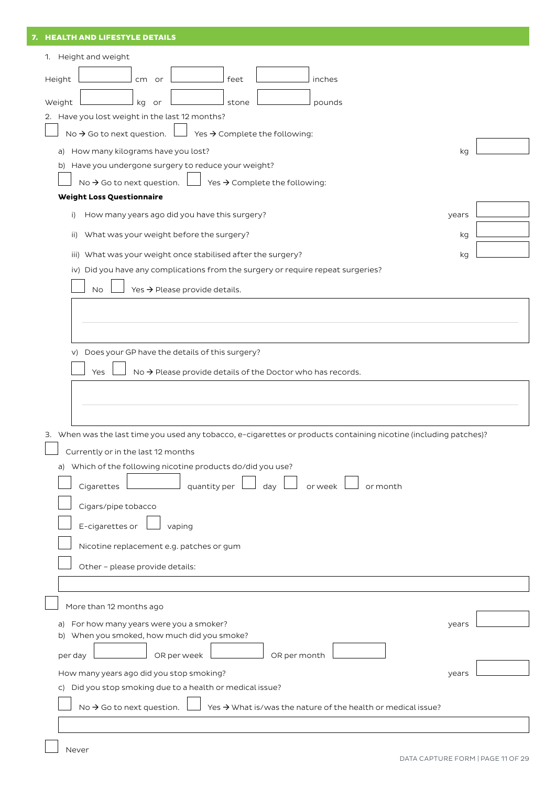| 7. HEALTH AND LIFESTYLE DETAILS                                                                                                                        |  |
|--------------------------------------------------------------------------------------------------------------------------------------------------------|--|
| 1. Height and weight                                                                                                                                   |  |
| feet<br>inches<br>Height<br>cm<br>or                                                                                                                   |  |
| Weight<br>kg<br>pounds<br>stone<br>or                                                                                                                  |  |
| 2. Have you lost weight in the last 12 months?                                                                                                         |  |
| No $\rightarrow$ Go to next question.<br>Yes $\rightarrow$ Complete the following:                                                                     |  |
| How many kilograms have you lost?<br>kg<br>a)                                                                                                          |  |
| b) Have you undergone surgery to reduce your weight?                                                                                                   |  |
| No $\rightarrow$ Go to next question.<br>Yes → Complete the following:<br><b>Weight Loss Questionnaire</b>                                             |  |
| How many years ago did you have this surgery?<br>i)<br>years                                                                                           |  |
|                                                                                                                                                        |  |
| What was your weight before the surgery?<br>kg<br>ii)                                                                                                  |  |
| iii) What was your weight once stabilised after the surgery?<br>kg<br>iv) Did you have any complications from the surgery or require repeat surgeries? |  |
| <b>No</b>                                                                                                                                              |  |
| Yes → Please provide details.                                                                                                                          |  |
|                                                                                                                                                        |  |
|                                                                                                                                                        |  |
| v) Does your GP have the details of this surgery?                                                                                                      |  |
| No $\rightarrow$ Please provide details of the Doctor who has records.<br>Yes                                                                          |  |
|                                                                                                                                                        |  |
|                                                                                                                                                        |  |
| 3. When was the last time you used any tobacco, e-cigarettes or products containing nicotine (including patches)?                                      |  |
| Currently or in the last 12 months                                                                                                                     |  |
| a) Which of the following nicotine products do/did you use?                                                                                            |  |
| quantity per<br>or week<br>or month<br>Cigarettes<br>day                                                                                               |  |
| Cigars/pipe tobacco                                                                                                                                    |  |
| E-cigarettes or<br>vaping                                                                                                                              |  |
| Nicotine replacement e.g. patches or gum                                                                                                               |  |
| Other - please provide details:                                                                                                                        |  |
|                                                                                                                                                        |  |
| More than 12 months ago                                                                                                                                |  |
| a) For how many years were you a smoker?<br>years                                                                                                      |  |
| b) When you smoked, how much did you smoke?                                                                                                            |  |
| OR per week<br>OR per month<br>per day                                                                                                                 |  |
| How many years ago did you stop smoking?<br>years                                                                                                      |  |
| c) Did you stop smoking due to a health or medical issue?                                                                                              |  |
| No $\rightarrow$ Go to next question.<br>Yes $\rightarrow$ What is/was the nature of the health or medical issue?                                      |  |
|                                                                                                                                                        |  |

Never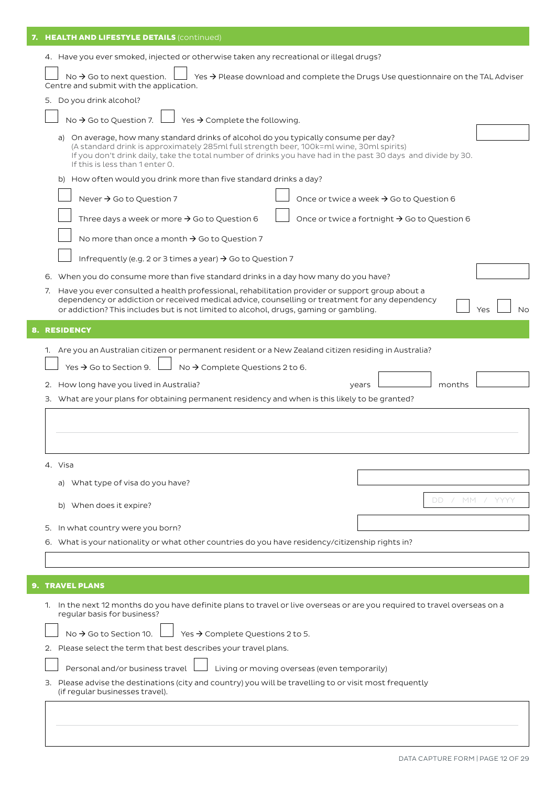| 7. HEALTH AND LIFESTYLE DETAILS (continued)                                                                                                                                                                                                                                                                                                                                                                                                                                                                                                                                                                |    |  |  |  |  |  |  |  |
|------------------------------------------------------------------------------------------------------------------------------------------------------------------------------------------------------------------------------------------------------------------------------------------------------------------------------------------------------------------------------------------------------------------------------------------------------------------------------------------------------------------------------------------------------------------------------------------------------------|----|--|--|--|--|--|--|--|
| 4. Have you ever smoked, injected or otherwise taken any recreational or illegal drugs?                                                                                                                                                                                                                                                                                                                                                                                                                                                                                                                    |    |  |  |  |  |  |  |  |
| No $\rightarrow$ Go to next question.<br>Yes $\rightarrow$ Please download and complete the Drugs Use questionnaire on the TAL Adviser<br>Centre and submit with the application.                                                                                                                                                                                                                                                                                                                                                                                                                          |    |  |  |  |  |  |  |  |
| 5. Do you drink alcohol?                                                                                                                                                                                                                                                                                                                                                                                                                                                                                                                                                                                   |    |  |  |  |  |  |  |  |
| Yes → Complete the following.<br>No $\rightarrow$ Go to Question 7.                                                                                                                                                                                                                                                                                                                                                                                                                                                                                                                                        |    |  |  |  |  |  |  |  |
| a) On average, how many standard drinks of alcohol do you typically consume per day?<br>(A standard drink is approximately 285ml full strength beer, 100k=ml wine, 30ml spirits)<br>If you don't drink daily, take the total number of drinks you have had in the past 30 days and divide by 30.<br>If this is less than 1 enter 0.                                                                                                                                                                                                                                                                        |    |  |  |  |  |  |  |  |
| b) How often would you drink more than five standard drinks a day?                                                                                                                                                                                                                                                                                                                                                                                                                                                                                                                                         |    |  |  |  |  |  |  |  |
| Never $\rightarrow$ Go to Question 7<br>Once or twice a week $\rightarrow$ Go to Question 6                                                                                                                                                                                                                                                                                                                                                                                                                                                                                                                |    |  |  |  |  |  |  |  |
| Three days a week or more $\rightarrow$ Go to Question 6<br>Once or twice a fortnight → Go to Question 6                                                                                                                                                                                                                                                                                                                                                                                                                                                                                                   |    |  |  |  |  |  |  |  |
| No more than once a month $\rightarrow$ Go to Question 7                                                                                                                                                                                                                                                                                                                                                                                                                                                                                                                                                   |    |  |  |  |  |  |  |  |
| Infrequently (e.g. 2 or 3 times a year) $\rightarrow$ Go to Question 7                                                                                                                                                                                                                                                                                                                                                                                                                                                                                                                                     |    |  |  |  |  |  |  |  |
| 6. When you do consume more than five standard drinks in a day how many do you have?                                                                                                                                                                                                                                                                                                                                                                                                                                                                                                                       |    |  |  |  |  |  |  |  |
| 7. Have you ever consulted a health professional, rehabilitation provider or support group about a<br>dependency or addiction or received medical advice, counselling or treatment for any dependency<br>or addiction? This includes but is not limited to alcohol, drugs, gaming or gambling.                                                                                                                                                                                                                                                                                                             | No |  |  |  |  |  |  |  |
| <b>8. RESIDENCY</b>                                                                                                                                                                                                                                                                                                                                                                                                                                                                                                                                                                                        |    |  |  |  |  |  |  |  |
| 1. Are you an Australian citizen or permanent resident or a New Zealand citizen residing in Australia?<br>Yes $\rightarrow$ Go to Section 9.<br>No $\rightarrow$ Complete Questions 2 to 6.<br>2. How long have you lived in Australia?<br>months<br>years<br>3. What are your plans for obtaining permanent residency and when is this likely to be granted?<br>4. Visa<br>a) What type of visa do you have?<br>/ MM / YYYY<br>DD.<br>b) When does it expire?<br>In what country were you born?<br>5.<br>6. What is your nationality or what other countries do you have residency/citizenship rights in? |    |  |  |  |  |  |  |  |
| <b>9. TRAVEL PLANS</b>                                                                                                                                                                                                                                                                                                                                                                                                                                                                                                                                                                                     |    |  |  |  |  |  |  |  |
| 1. In the next 12 months do you have definite plans to travel or live overseas or are you required to travel overseas on a<br>regular basis for business?                                                                                                                                                                                                                                                                                                                                                                                                                                                  |    |  |  |  |  |  |  |  |
| Yes → Complete Questions 2 to 5.<br>No $\rightarrow$ Go to Section 10.                                                                                                                                                                                                                                                                                                                                                                                                                                                                                                                                     |    |  |  |  |  |  |  |  |
| Please select the term that best describes your travel plans.                                                                                                                                                                                                                                                                                                                                                                                                                                                                                                                                              |    |  |  |  |  |  |  |  |
| Living or moving overseas (even temporarily)<br>Personal and/or business travel<br>Please advise the destinations (city and country) you will be travelling to or visit most frequently<br>З.<br>(if regular businesses travel).                                                                                                                                                                                                                                                                                                                                                                           |    |  |  |  |  |  |  |  |
|                                                                                                                                                                                                                                                                                                                                                                                                                                                                                                                                                                                                            |    |  |  |  |  |  |  |  |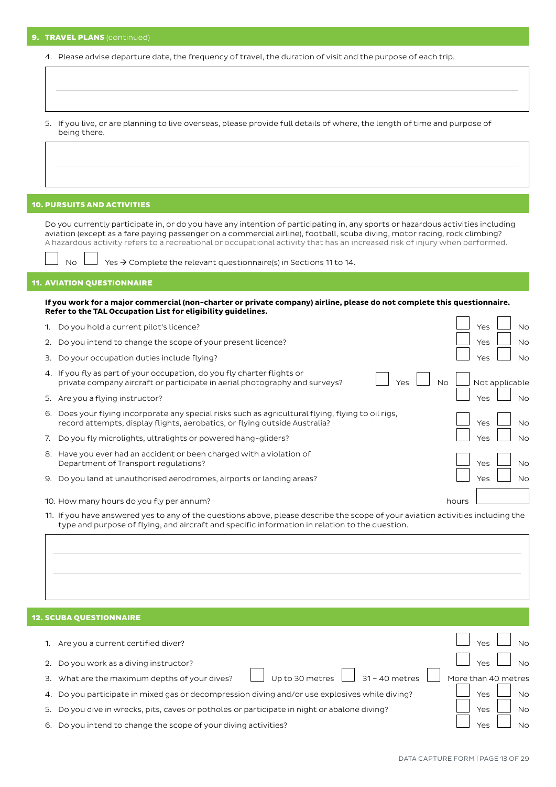|  |  |  | 9. TRAVEL PLANS (continued) |  |
|--|--|--|-----------------------------|--|
|  |  |  |                             |  |

|  |  | 4. Please advise departure date, the frequency of travel, the duration of visit and the purpose of each trip. |
|--|--|---------------------------------------------------------------------------------------------------------------|
|  |  |                                                                                                               |

| 5. If you live, or are planning to live overseas, please provide full details of where, the length of time and purpose of |
|---------------------------------------------------------------------------------------------------------------------------|
| being there.                                                                                                              |

## 10. PURSUITS AND ACTIVITIES

Do you currently participate in, or do you have any intention of participating in, any sports or hazardous activities including aviation (except as a fare paying passenger on a commercial airline), football, scuba diving, motor racing, rock climbing? A hazardous activity refers to a recreational or occupational activity that has an increased risk of injury when performed.

No  $\Box$  Yes  $\rightarrow$  Complete the relevant questionnaire(s) in Sections 11 to 14.

## 11. AVIATION QUESTIONNAIRE

**If you work for a major commercial (non-charter or private company) airline, please do not complete this questionnaire. Refer to the TAL Occupation List for eligibility guidelines.**

| 1. | Do you hold a current pilot's licence?                                                                                                                                        |       | Yes            | <b>No</b> |
|----|-------------------------------------------------------------------------------------------------------------------------------------------------------------------------------|-------|----------------|-----------|
|    | 2. Do you intend to change the scope of your present licence?                                                                                                                 |       | Yes            | <b>No</b> |
|    | 3. Do your occupation duties include flying?                                                                                                                                  |       | Yes            | <b>No</b> |
|    | 4. If you fly as part of your occupation, do you fly charter flights or<br>Yes<br><b>No</b><br>private company aircraft or participate in aerial photography and surveys?     |       | Not applicable |           |
|    | 5. Are you a flying instructor?                                                                                                                                               |       | Yes            | No        |
| 6. | Does your flying incorporate any special risks such as agricultural flying, flying to oil rigs,<br>record attempts, display flights, aerobatics, or flying outside Australia? |       | Yes            | <b>No</b> |
| 7. | Do you fly microlights, ultralights or powered hang-gliders?                                                                                                                  |       | Yes            | No        |
|    | 8. Have you ever had an accident or been charged with a violation of<br>Department of Transport regulations?                                                                  |       | Yes            | <b>No</b> |
| 9. | Do you land at unauthorised aerodromes, airports or landing areas?                                                                                                            |       | Yes            | <b>No</b> |
|    | 10. How many hours do you fly per annum?                                                                                                                                      | hours |                |           |

11. If you have answered yes to any of the questions above, please describe the scope of your aviation activities including the type and purpose of flying, and aircraft and specific information in relation to the question.

|    | <b>12. SCUBA QUESTIONNAIRE</b>                                                              |                       |
|----|---------------------------------------------------------------------------------------------|-----------------------|
|    | Are you a current certified diver?                                                          | Yes                   |
|    | Do you work as a diving instructor?                                                         | Yes                   |
| З. | 31 - 40 metres<br>Up to 30 metres<br>What are the maximum depths of your dives?             | More than 40 metres   |
|    | Do you participate in mixed gas or decompression diving and/or use explosives while diving? | Yes<br><b>No</b>      |
| 5. | Do you dive in wrecks, pits, caves or potholes or participate in night or abalone diving?   | Yes<br><b>No</b>      |
| 6. | Do you intend to change the scope of your diving activities?                                | N <sub>O</sub><br>Yes |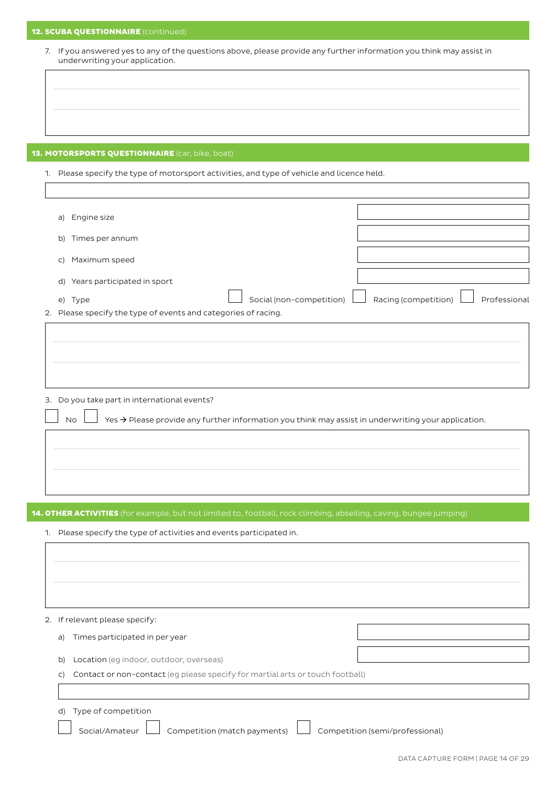# **12. SCUBA QUESTIONNAIRE** (continued)

7. If you answered yes to any of the questions above, please provide any further information you think may assist in underwriting your application.

# 13. MOTORSPORTS QUESTIONNAIRE (car, bike, boat)

1. Please specify the type of motorsport activities, and type of vehicle and licence held.

| a)           | Engine size                                                    |                          |                                      |
|--------------|----------------------------------------------------------------|--------------------------|--------------------------------------|
| b)           | Times per annum                                                |                          |                                      |
| $\mathsf{C}$ | Maximum speed                                                  |                          |                                      |
|              | d) Years participated in sport                                 |                          |                                      |
|              | e) Type                                                        | Social (non-competition) | Racing (competition)<br>Professional |
|              | 2. Please specify the type of events and categories of racing. |                          |                                      |
|              |                                                                |                          |                                      |
|              |                                                                |                          |                                      |
|              |                                                                |                          |                                      |
|              |                                                                |                          |                                      |
|              |                                                                |                          |                                      |

3. Do you take part in international events?

No  $\Box$  Yes  $\rightarrow$  Please provide any further information you think may assist in underwriting your application.

14. OTHER ACTIVITIES (for example, but not limited to, football, rock climbing, abseiling, caving, bungee jumping)

1. Please specify the type of activities and events participated in.

## 2. If relevant please specify:

a) Times participated in per year

- b) Location (eg indoor, outdoor, overseas)
- c) Contact or non-contact (eg please specify for martial arts or touch football)

# d) Type of competition

Social/Amateur  $\Box$  Competition (match payments)  $\Box$  Competition (semi/professional)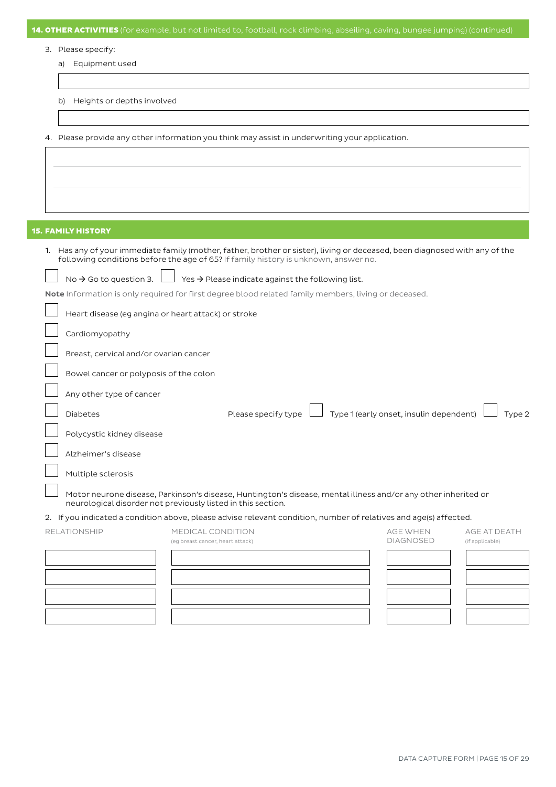| <b>14. OTHER ACTIVITIES</b> (for example, but not limited to, football, rock climbing, abseiling, caving, bungee jumping) (continued)                                                                              |                                  |                                                               |  |                                         |                 |  |  |  |
|--------------------------------------------------------------------------------------------------------------------------------------------------------------------------------------------------------------------|----------------------------------|---------------------------------------------------------------|--|-----------------------------------------|-----------------|--|--|--|
| 3. Please specify:                                                                                                                                                                                                 |                                  |                                                               |  |                                         |                 |  |  |  |
| Equipment used<br>a)                                                                                                                                                                                               |                                  |                                                               |  |                                         |                 |  |  |  |
|                                                                                                                                                                                                                    |                                  |                                                               |  |                                         |                 |  |  |  |
| Heights or depths involved<br>b)                                                                                                                                                                                   |                                  |                                                               |  |                                         |                 |  |  |  |
|                                                                                                                                                                                                                    |                                  |                                                               |  |                                         |                 |  |  |  |
| 4. Please provide any other information you think may assist in underwriting your application.                                                                                                                     |                                  |                                                               |  |                                         |                 |  |  |  |
|                                                                                                                                                                                                                    |                                  |                                                               |  |                                         |                 |  |  |  |
|                                                                                                                                                                                                                    |                                  |                                                               |  |                                         |                 |  |  |  |
|                                                                                                                                                                                                                    |                                  |                                                               |  |                                         |                 |  |  |  |
|                                                                                                                                                                                                                    |                                  |                                                               |  |                                         |                 |  |  |  |
| <b>15. FAMILY HISTORY</b>                                                                                                                                                                                          |                                  |                                                               |  |                                         |                 |  |  |  |
| 1. Has any of your immediate family (mother, father, brother or sister), living or deceased, been diagnosed with any of the<br>following conditions before the age of 65? If family history is unknown, answer no. |                                  |                                                               |  |                                         |                 |  |  |  |
| No $\rightarrow$ Go to question 3.                                                                                                                                                                                 |                                  | Yes $\rightarrow$ Please indicate against the following list. |  |                                         |                 |  |  |  |
| Note Information is only required for first degree blood related family members, living or deceased.                                                                                                               |                                  |                                                               |  |                                         |                 |  |  |  |
| Heart disease (eg angina or heart attack) or stroke                                                                                                                                                                |                                  |                                                               |  |                                         |                 |  |  |  |
| Cardiomyopathy                                                                                                                                                                                                     |                                  |                                                               |  |                                         |                 |  |  |  |
| Breast, cervical and/or ovarian cancer                                                                                                                                                                             |                                  |                                                               |  |                                         |                 |  |  |  |
| Bowel cancer or polyposis of the colon                                                                                                                                                                             |                                  |                                                               |  |                                         |                 |  |  |  |
| Any other type of cancer                                                                                                                                                                                           |                                  |                                                               |  |                                         |                 |  |  |  |
| <b>Diabetes</b>                                                                                                                                                                                                    |                                  | Please specify type                                           |  | Type 1 (early onset, insulin dependent) | Гуре 2          |  |  |  |
| Polycystic kidney disease                                                                                                                                                                                          |                                  |                                                               |  |                                         |                 |  |  |  |
| Alzheimer's disease                                                                                                                                                                                                |                                  |                                                               |  |                                         |                 |  |  |  |
| Multiple sclerosis                                                                                                                                                                                                 |                                  |                                                               |  |                                         |                 |  |  |  |
| Motor neurone disease, Parkinson's disease, Huntington's disease, mental illness and/or any other inherited or<br>neurological disorder not previously listed in this section.                                     |                                  |                                                               |  |                                         |                 |  |  |  |
| 2. If you indicated a condition above, please advise relevant condition, number of relatives and age(s) affected.                                                                                                  |                                  |                                                               |  |                                         |                 |  |  |  |
| <b>RELATIONSHIP</b>                                                                                                                                                                                                | MEDICAL CONDITION                |                                                               |  | <b>AGE WHEN</b>                         | AGE AT DEATH    |  |  |  |
|                                                                                                                                                                                                                    | (eg breast cancer, heart attack) |                                                               |  | <b>DIAGNOSED</b>                        | (if applicable) |  |  |  |
|                                                                                                                                                                                                                    |                                  |                                                               |  |                                         |                 |  |  |  |
|                                                                                                                                                                                                                    |                                  |                                                               |  |                                         |                 |  |  |  |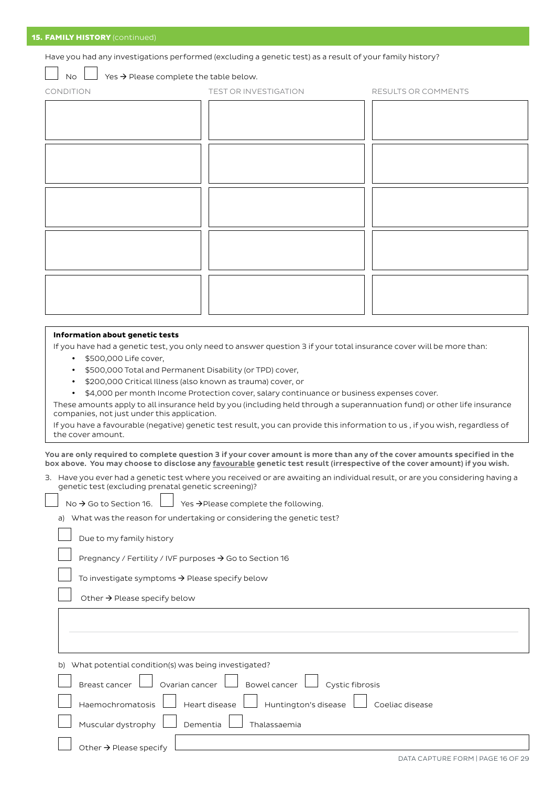Have you had any investigations performed (excluding a genetic test) as a result of your family history?

No  $\Box$  Yes  $\rightarrow$  Please complete the table below.

| CONDITION | TEST OR INVESTIGATION | RESULTS OR COMMENTS |
|-----------|-----------------------|---------------------|
|           |                       |                     |
|           |                       |                     |
|           |                       |                     |
|           |                       |                     |
|           |                       |                     |

#### **Information about genetic tests**

If you have had a genetic test, you only need to answer question 3 if your total insurance cover will be more than:

- \$500,000 Life cover,
- y \$500,000 Total and Permanent Disability (or TPD) cover,
- y \$200,000 Critical Illness (also known as trauma) cover, or
- y \$4,000 per month Income Protection cover, salary continuance or business expenses cover.

These amounts apply to all insurance held by you (including held through a superannuation fund) or other life insurance companies, not just under this application.

If you have a favourable (negative) genetic test result, you can provide this information to us , if you wish, regardless of the cover amount.

You are only required to complete question 3 if your cover amount is more than any of the cover amounts specified in the box above. You may choose to disclose any favourable genetic test result (irrespective of the cover amount) if you wish.

3. Have you ever had a genetic test where you received or are awaiting an individual result, or are you considering having a genetic test (excluding prenatal genetic screening)?

|  |  | No $\rightarrow$ Go to Section 16. $\Box$ Yes $\rightarrow$ Please complete the following. |
|--|--|--------------------------------------------------------------------------------------------|
|--|--|--------------------------------------------------------------------------------------------|

a) What was the reason for undertaking or considering the genetic test?

Due to my family history

Pregnancy / Fertility / IVF purposes  $\rightarrow$  Go to Section 16

To investigate symptoms  $\rightarrow$  Please specify below

Other  $\rightarrow$  Please specify below

b) What potential condition(s) was being investigated? Breast cancer  $\Box$  Ovarian cancer  $\Box$  Bowel cancer  $\Box$  Cystic fibrosis Haemochromatosis Heart disease Huntington's disease Coeliac disease Muscular dystrophy  $\|\cdot\|$  Dementia  $\|\cdot\|$  Thalassaemia Other  $\rightarrow$  Please specify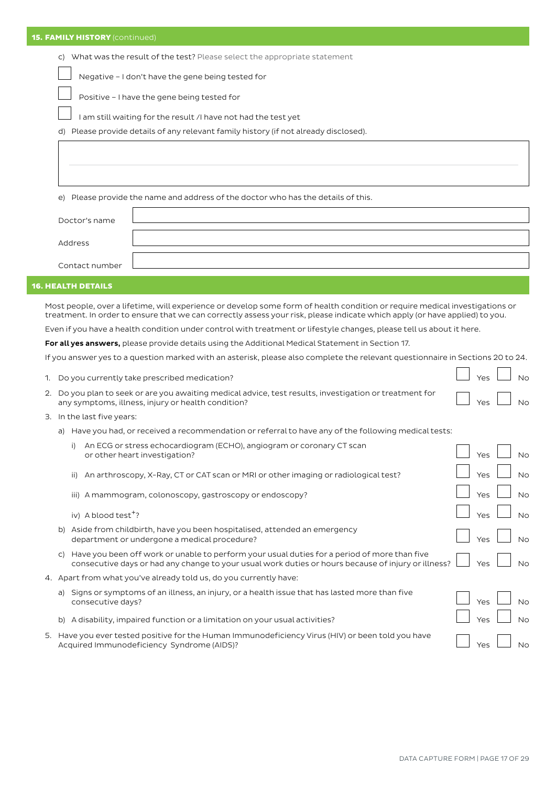c) What was the result of the test? Please select the appropriate statement

Negative – I don't have the gene being tested for

Positive – I have the gene being tested for

I am still waiting for the result /I have not had the test yet

d) Please provide details of any relevant family history (if not already disclosed).

e) Please provide the name and address of the doctor who has the details of this.

| Doctor's name  |  |
|----------------|--|
|                |  |
| Address        |  |
| Contact number |  |

# 16. HEALTH DETAILS

Most people, over a lifetime, will experience or develop some form of health condition or require medical investigations or treatment. In order to ensure that we can correctly assess your risk, please indicate which apply (or have applied) to you.

Even if you have a health condition under control with treatment or lifestyle changes, please tell us about it here.

For all yes answers, please provide details using the Additional Medical Statement in Section 17.

If you answer yes to a question marked with an asterisk, please also complete the relevant questionnaire in Sections 20 to 24.

|              | 1. Do you currently take prescribed medication?                                                                                                                                                     | Yes | <b>No</b> |
|--------------|-----------------------------------------------------------------------------------------------------------------------------------------------------------------------------------------------------|-----|-----------|
|              | 2. Do you plan to seek or are you awaiting medical advice, test results, investigation or treatment for<br>any symptoms, illness, injury or health condition?                                       | Yes | <b>No</b> |
|              | 3. In the last five years:                                                                                                                                                                          |     |           |
| a)           | Have you had, or received a recommendation or referral to have any of the following medical tests:                                                                                                  |     |           |
|              | An ECG or stress echocardiogram (ECHO), angiogram or coronary CT scan<br>i)<br>or other heart investigation?                                                                                        | Yes | No        |
|              | An arthroscopy, X-Ray, CT or CAT scan or MRI or other imaging or radiological test?<br>ii)                                                                                                          | Yes | <b>No</b> |
|              | iii) A mammogram, colonoscopy, gastroscopy or endoscopy?                                                                                                                                            | Yes | <b>No</b> |
|              | iv) A blood test <sup>+</sup> ?                                                                                                                                                                     | Yes | <b>No</b> |
| b)           | Aside from childbirth, have you been hospitalised, attended an emergency<br>department or undergone a medical procedure?                                                                            | Yes | No        |
| $\mathsf{C}$ | Have you been off work or unable to perform your usual duties for a period of more than five<br>consecutive days or had any change to your usual work duties or hours because of injury or illness? | Yes | <b>No</b> |
|              | 4. Apart from what you've already told us, do you currently have:                                                                                                                                   |     |           |
| a)           | Signs or symptoms of an illness, an injury, or a health issue that has lasted more than five<br>consecutive days?                                                                                   | Yes | <b>No</b> |
|              | b) A disability, impaired function or a limitation on your usual activities?                                                                                                                        | Yes | <b>No</b> |
|              | 5. Have you ever tested positive for the Human Immunodeficiency Virus (HIV) or been told you have<br>Acquired Immunodeficiency Syndrome (AIDS)?                                                     | Yes | No        |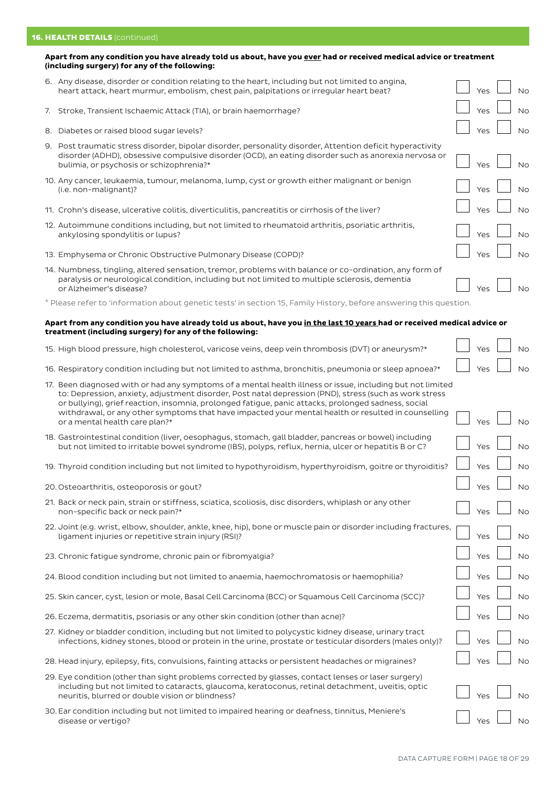# **16. HEALTH DETAILS** (continued)

## **Apart from any condition you have already told us about, have you ever had or received medical advice or treatment (including surgery) for any of the following:**

|    | 6. Any disease, disorder or condition relating to the heart, including but not limited to angina,<br>heart attack, heart murmur, embolism, chest pain, palpitations or irregular heart beat?                                                                   | Yes | <b>No</b> |
|----|----------------------------------------------------------------------------------------------------------------------------------------------------------------------------------------------------------------------------------------------------------------|-----|-----------|
|    | 7. Stroke, Transient Ischaemic Attack (TIA), or brain haemorrhage?                                                                                                                                                                                             | Yes | <b>No</b> |
| 8. | Diabetes or raised blood sugar levels?                                                                                                                                                                                                                         | Yes | No        |
|    | 9. Post traumatic stress disorder, bipolar disorder, personality disorder, Attention deficit hyperactivity<br>disorder (ADHD), obsessive compulsive disorder (OCD), an eating disorder such as anorexia nervosa or<br>bulimia, or psychosis or schizophrenia?* | Yes | No        |
|    | 10. Any cancer, leukaemia, tumour, melanoma, lump, cyst or growth either malignant or benign<br>(i.e. non-malignant)?                                                                                                                                          | Yes | No        |
|    | 11. Crohn's disease, ulcerative colitis, diverticulitis, pancreatitis or cirrhosis of the liver?                                                                                                                                                               | Yes | No        |
|    | 12. Autoimmune conditions including, but not limited to rheumatoid arthritis, psoriatic arthritis,<br>ankylosing spondylitis or lupus?                                                                                                                         | Yes | No        |
|    | 13. Emphysema or Chronic Obstructive Pulmonary Disease (COPD)?                                                                                                                                                                                                 | Yes | No        |
|    | 14. Numbness, tingling, altered sensation, tremor, problems with balance or co-ordination, any form of<br>paralysis or neurological condition, including but not limited to multiple sclerosis, dementia<br>or Alzheimer's disease?                            |     | No        |
|    | + Please refer to 'information about genetic tests' in section 15, Family History, before answering this question.                                                                                                                                             |     |           |

## **Apart from any condition you have already told us about, have you in the last 10 years had or received medical advice or treatment (including surgery) for any of the following:**

| 15. High blood pressure, high cholesterol, varicose veins, deep vein thrombosis (DVT) or aneurysm?* |  | $\Box$ $\gamma$ es $\Box$ Nc |  |  |
|-----------------------------------------------------------------------------------------------------|--|------------------------------|--|--|
|-----------------------------------------------------------------------------------------------------|--|------------------------------|--|--|

16. Respiratory condition including but not limited to asthma, bronchitis, pneumonia or sleep apnoea?\*  $\Box$  Yes  $\Box$  No

| 17. Been diagnosed with or had any symptoms of a mental health illness or issue, including but not limited<br>to: Depression, anxiety, adjustment disorder, Post natal depression (PND), stress (such as work stress<br>or bullying), grief reaction, insomnia, prolonged fatigue, panic attacks, prolonged sadness, social<br>withdrawal, or any other symptoms that have impacted your mental health or resulted in counselling |     |           |
|-----------------------------------------------------------------------------------------------------------------------------------------------------------------------------------------------------------------------------------------------------------------------------------------------------------------------------------------------------------------------------------------------------------------------------------|-----|-----------|
| or a mental health care plan?*                                                                                                                                                                                                                                                                                                                                                                                                    | Yes | <b>No</b> |
| 18. Gastrointestinal condition (liver, oesophagus, stomach, gall bladder, pancreas or bowel) including<br>but not limited to irritable bowel syndrome (IBS), polyps, reflux, hernia, ulcer or hepatitis B or C?                                                                                                                                                                                                                   | Yes | <b>No</b> |
| 19. Thyroid condition including but not limited to hypothyroidism, hyperthyroidism, goitre or thyroiditis?                                                                                                                                                                                                                                                                                                                        | Yes | <b>No</b> |
| 20. Osteoarthritis, osteoporosis or gout?                                                                                                                                                                                                                                                                                                                                                                                         | Yes | <b>No</b> |
| 21. Back or neck pain, strain or stiffness, sciatica, scoliosis, disc disorders, whiplash or any other<br>non-specific back or neck pain?*                                                                                                                                                                                                                                                                                        | Yes | <b>No</b> |
| 22. Joint (e.g. wrist, elbow, shoulder, ankle, knee, hip), bone or muscle pain or disorder including fractures,<br>ligament injuries or repetitive strain injury (RSI)?                                                                                                                                                                                                                                                           | Yes | <b>No</b> |
| 23. Chronic fatique syndrome, chronic pain or fibromyalgia?                                                                                                                                                                                                                                                                                                                                                                       | Yes | <b>No</b> |
| 24. Blood condition including but not limited to anaemia, haemochromatosis or haemophilia?                                                                                                                                                                                                                                                                                                                                        | Yes | <b>No</b> |
| 25. Skin cancer, cyst, lesion or mole, Basal Cell Carcinoma (BCC) or Squamous Cell Carcinoma (SCC)?                                                                                                                                                                                                                                                                                                                               | Yes | <b>No</b> |
| 26. Eczema, dermatitis, psoriasis or any other skin condition (other than acne)?                                                                                                                                                                                                                                                                                                                                                  | Yes | <b>No</b> |
| 27. Kidney or bladder condition, including but not limited to polycystic kidney disease, urinary tract<br>infections, kidney stones, blood or protein in the urine, prostate or testicular disorders (males only)?                                                                                                                                                                                                                | Yes | <b>No</b> |
| 28. Head injury, epilepsy, fits, convulsions, fainting attacks or persistent headaches or migraines?                                                                                                                                                                                                                                                                                                                              | Yes | <b>No</b> |
| 29. Eye condition (other than sight problems corrected by glasses, contact lenses or laser surgery)                                                                                                                                                                                                                                                                                                                               |     |           |
| including but not limited to cataracts, glaucoma, keratoconus, retinal detachment, uveitis, optic<br>neuritis, blurred or double vision or blindness?                                                                                                                                                                                                                                                                             | Yes | <b>No</b> |
| 30. Ear condition including but not limited to impaired hearing or deafness, tinnitus, Meniere's<br>disease or vertigo?                                                                                                                                                                                                                                                                                                           | Yes | <b>No</b> |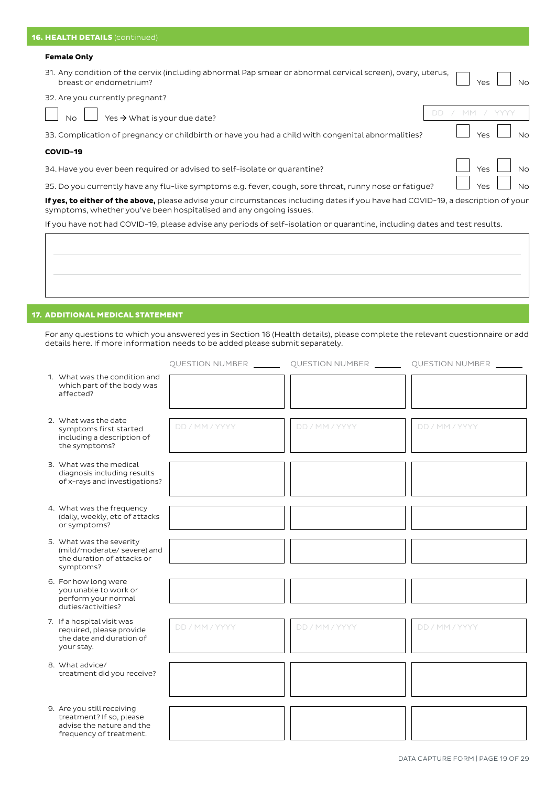#### **Female Only**

31. Any condition of the cervix (including abnormal Pap smear or abnormal cervical screen), ovary, uterus, breast or endometrium? No set of the set of the set of the set of the set of the set of the set of the set of the set of the set of the set of the set of the set of the set of the set of the set of the set of the set of th

32. Are you currently pregnant?

No **Yes >** What is your due date? DD / MM

33. Complication of pregnancy or childbirth or have you had a child with congenital abnormalities?  $\Box$  Yes  $\Box$  No

#### **COVID-19**

34. Have you ever been required or advised to self-isolate or quarantine?  $\Box$  Yes  $\Box$  Yes  $\Box$  No

35. Do you currently have any flu-like symptoms e.g. fever, cough, sore throat, runny nose or fatigue?  $\Box$  Yes  $\Box$  No

**If yes, to either of the above,** please advise your circumstances including dates if you have had COVID-19, a description of your symptoms, whether you've been hospitalised and any ongoing issues.

If you have not had COVID-19, please advise any periods of self-isolation or quarantine, including dates and test results.

# 17. ADDITIONAL MEDICAL STATEMENT

For any questions to which you answered yes in Section 16 (Health details), please complete the relevant questionnaire or add details here. If more information needs to be added please submit separately.

|                                                                                                                |                |                | QUESTION NUMBER ___________ QUESTION NUMBER ___________ QUESTION NUMBER ________ |
|----------------------------------------------------------------------------------------------------------------|----------------|----------------|----------------------------------------------------------------------------------|
| 1. What was the condition and<br>which part of the body was<br>affected?                                       |                |                |                                                                                  |
| 2. What was the date<br>symptoms first started<br>including a description of<br>the symptoms?                  | DD / MM / YYYY | DD / MM / YYYY | DD / MM / YYYY                                                                   |
| 3. What was the medical<br>diagnosis including results<br>of x-rays and investigations?                        |                |                |                                                                                  |
| 4. What was the frequency<br>(daily, weekly, etc of attacks<br>or symptoms?                                    |                |                |                                                                                  |
| 5. What was the severity<br>(mild/moderate/ severe) and<br>the duration of attacks or<br>symptoms?             |                |                |                                                                                  |
| 6. For how long were<br>you unable to work or<br>perform your normal<br>duties/activities?                     |                |                |                                                                                  |
| 7. If a hospital visit was<br>required, please provide<br>the date and duration of<br>your stay.               | DD / MM / YYYY | DD / MM / YYYY | DD / MM / YYYY                                                                   |
| 8. What advice/<br>treatment did you receive?                                                                  |                |                |                                                                                  |
| 9. Are you still receiving<br>treatment? If so, please<br>advise the nature and the<br>frequency of treatment. |                |                |                                                                                  |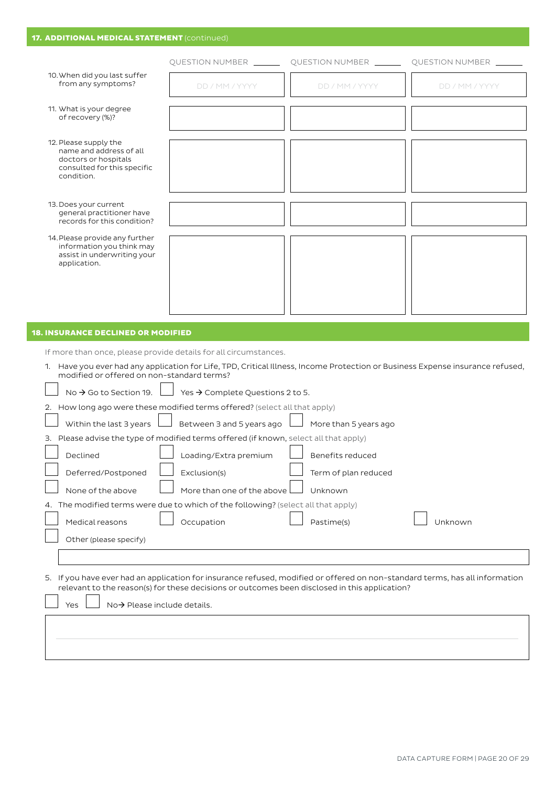|                                                                                                                                                                                                                                                                                                                              |                                                                                                                                          | QUESTION NUMBER _________ QUESTION NUMBER _______ QUESTION NUMBER ______                                                       |                |
|------------------------------------------------------------------------------------------------------------------------------------------------------------------------------------------------------------------------------------------------------------------------------------------------------------------------------|------------------------------------------------------------------------------------------------------------------------------------------|--------------------------------------------------------------------------------------------------------------------------------|----------------|
| 10. When did you last suffer<br>from any symptoms?                                                                                                                                                                                                                                                                           | DD / MM / YYYY                                                                                                                           | DD / MM / YYYY                                                                                                                 | DD / MM / YYYY |
| 11. What is your degree<br>of recovery (%)?                                                                                                                                                                                                                                                                                  |                                                                                                                                          |                                                                                                                                |                |
| 12. Please supply the<br>name and address of all<br>doctors or hospitals<br>consulted for this specific<br>condition.                                                                                                                                                                                                        |                                                                                                                                          |                                                                                                                                |                |
| 13. Does your current<br>general practitioner have<br>records for this condition?                                                                                                                                                                                                                                            |                                                                                                                                          |                                                                                                                                |                |
| 14. Please provide any further<br>information you think may<br>assist in underwriting your<br>application.                                                                                                                                                                                                                   |                                                                                                                                          |                                                                                                                                |                |
|                                                                                                                                                                                                                                                                                                                              |                                                                                                                                          |                                                                                                                                |                |
| modified or offered on non-standard terms?                                                                                                                                                                                                                                                                                   |                                                                                                                                          | 1. Have you ever had any application for Life, TPD, Critical Illness, Income Protection or Business Expense insurance refused, |                |
| No $\rightarrow$ Go to Section 19. L                                                                                                                                                                                                                                                                                         | Yes → Complete Questions 2 to 5.                                                                                                         |                                                                                                                                |                |
|                                                                                                                                                                                                                                                                                                                              |                                                                                                                                          |                                                                                                                                |                |
| Within the last 3 years                                                                                                                                                                                                                                                                                                      | Between 3 and 5 years ago                                                                                                                | More than 5 years ago                                                                                                          |                |
| Declined                                                                                                                                                                                                                                                                                                                     | the contract of the contract of the contract of the contract of the contract of the contract of the contract of<br>Loading/Extra premium | Benefits reduced                                                                                                               |                |
| Deferred/Postponed                                                                                                                                                                                                                                                                                                           | Exclusion(s)                                                                                                                             | Term of plan reduced                                                                                                           |                |
| None of the above                                                                                                                                                                                                                                                                                                            | More than one of the above                                                                                                               | Unknown                                                                                                                        |                |
| If more than once, please provide details for all circumstances.<br>2. How long ago were these modified terms offered? (select all that apply)<br>3. Please advise the type of modified terms offered (if known, select all that apply)<br>4. The modified terms were due to which of the following? (select all that apply) |                                                                                                                                          |                                                                                                                                |                |
| Medical reasons                                                                                                                                                                                                                                                                                                              | Occupation                                                                                                                               | Pastime(s)                                                                                                                     | Unknown        |
| Other (please specify)                                                                                                                                                                                                                                                                                                       |                                                                                                                                          |                                                                                                                                |                |
|                                                                                                                                                                                                                                                                                                                              |                                                                                                                                          |                                                                                                                                |                |
|                                                                                                                                                                                                                                                                                                                              |                                                                                                                                          | 5. If you have ever had an application for insurance refused, modified or offered on non-standard terms, has all information   |                |
| $No \rightarrow$ Please include details.<br>Yes                                                                                                                                                                                                                                                                              |                                                                                                                                          | relevant to the reason(s) for these decisions or outcomes been disclosed in this application?                                  |                |
|                                                                                                                                                                                                                                                                                                                              |                                                                                                                                          |                                                                                                                                |                |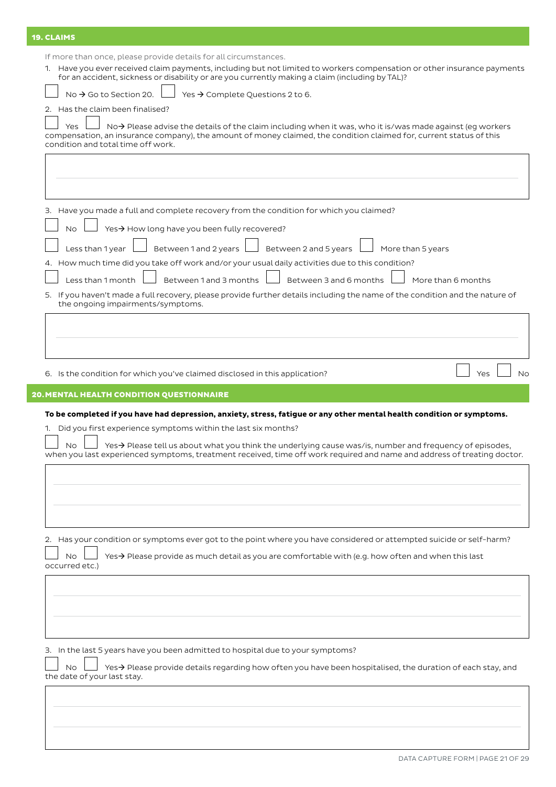# 19. CLAIMS

If more than once, please provide details for all circumstances.

 $\overline{a}$ 

1. Have you ever received claim payments, including but not limited to workers compensation or other insurance payments for an accident, sickness or disability or are you currently making a claim (including by TAL)?  $\overline{a}$ 

|  | $\Box$ No → Go to Section 20. $\Box$ Yes → Complete Questions 2 to 6. |
|--|-----------------------------------------------------------------------|

2. Has the claim been finalised?

Yes  $\Box$  No  $\rightarrow$  Please advise the details of the claim including when it was, who it is/was made against (eg workers compensation, an insurance company), the amount of money claimed, the condition claimed for, current status of this condition and total time off work.

| 3. Have you made a full and complete recovery from the condition for which you claimed?<br>Yes→ How long have you been fully recovered?<br><b>No</b>                                                                                                                                                                             |                    |
|----------------------------------------------------------------------------------------------------------------------------------------------------------------------------------------------------------------------------------------------------------------------------------------------------------------------------------|--------------------|
|                                                                                                                                                                                                                                                                                                                                  |                    |
|                                                                                                                                                                                                                                                                                                                                  |                    |
|                                                                                                                                                                                                                                                                                                                                  |                    |
|                                                                                                                                                                                                                                                                                                                                  |                    |
| Between 1 and 2 years<br>Between 2 and 5 years<br>More than 5 years<br>Less than 1 year                                                                                                                                                                                                                                          |                    |
| 4. How much time did you take off work and/or your usual daily activities due to this condition?                                                                                                                                                                                                                                 |                    |
| Less than 1 month<br>Between 1 and 3 months<br>Between 3 and 6 months                                                                                                                                                                                                                                                            | More than 6 months |
| 5. If you haven't made a full recovery, please provide further details including the name of the condition and the nature of<br>the ongoing impairments/symptoms.                                                                                                                                                                |                    |
|                                                                                                                                                                                                                                                                                                                                  |                    |
|                                                                                                                                                                                                                                                                                                                                  |                    |
| 6. Is the condition for which you've claimed disclosed in this application?                                                                                                                                                                                                                                                      | No<br>Yes          |
| <b>20. MENTAL HEALTH CONDITION QUESTIONNAIRE</b>                                                                                                                                                                                                                                                                                 |                    |
| 1. Did you first experience symptoms within the last six months?<br><b>No</b><br>Yes $\rightarrow$ Please tell us about what you think the underlying cause was/is, number and frequency of episodes,<br>when you last experienced symptoms, treatment received, time off work required and name and address of treating doctor. |                    |
| 2. Has your condition or symptoms ever got to the point where you have considered or attempted suicide or self-harm?<br>Yes→ Please provide as much detail as you are comfortable with (e.g. how often and when this last<br>No.                                                                                                 |                    |
|                                                                                                                                                                                                                                                                                                                                  |                    |
|                                                                                                                                                                                                                                                                                                                                  |                    |
|                                                                                                                                                                                                                                                                                                                                  |                    |
| occurred etc.)<br>3. In the last 5 years have you been admitted to hospital due to your symptoms?                                                                                                                                                                                                                                |                    |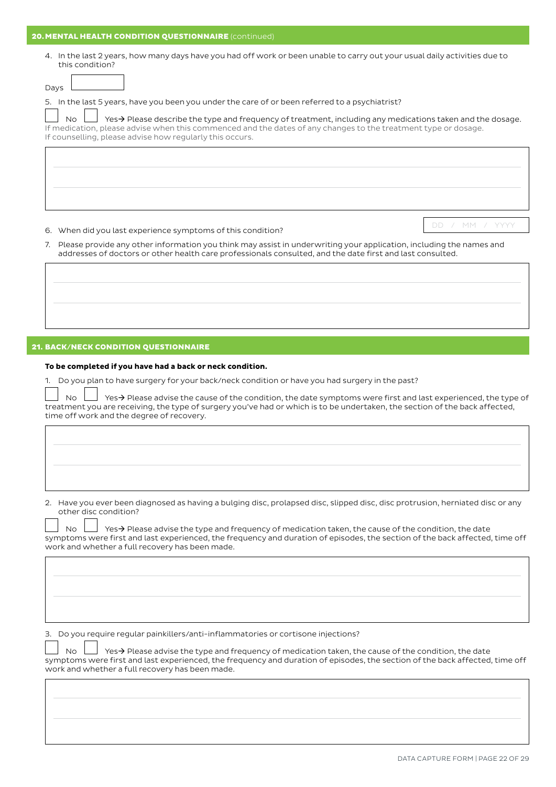#### 20. MENTAL HEALTH CONDITION QUESTIONNAIRE (continued)

4. In the last 2 years, how many days have you had off work or been unable to carry out your usual daily activities due to this condition?

5. In the last 5 years, have you been you under the care of or been referred to a psychiatrist?

No  $\Box$  Yes  $\rightarrow$  Please describe the type and frequency of treatment, including any medications taken and the dosage. If medication, please advise when this commenced and the dates of any changes to the treatment type or dosage. If counselling, please advise how regularly this occurs.

6. When did you last experience symptoms of this condition? DD / MM / YYYY

7. Please provide any other information you think may assist in underwriting your application, including the names and addresses of doctors or other health care professionals consulted, and the date first and last consulted.

## 21. BACK/NECK CONDITION QUESTIONNAIRE

#### **To be completed if you have had a back or neck condition.**

1. Do you plan to have surgery for your back/neck condition or have you had surgery in the past?

No  $\Box$  Yes  $\rightarrow$  Please advise the cause of the condition, the date symptoms were first and last experienced, the type of treatment you are receiving, the type of surgery you've had or which is to be undertaken, the section of the back affected, time off work and the degree of recovery.

2. Have you ever been diagnosed as having a bulging disc, prolapsed disc, slipped disc, disc protrusion, herniated disc or any other disc condition?

No  $\Box$  Yes  $\rightarrow$  Please advise the type and frequency of medication taken, the cause of the condition, the date symptoms were first and last experienced, the frequency and duration of episodes, the section of the back affected, time off work and whether a full recovery has been made.

3. Do you require regular painkillers/anti-inflammatories or cortisone injections?

No  $\Box$  Yes  $\rightarrow$  Please advise the type and frequency of medication taken, the cause of the condition, the date symptoms were first and last experienced, the frequency and duration of episodes, the section of the back affected, time off work and whether a full recovery has been made.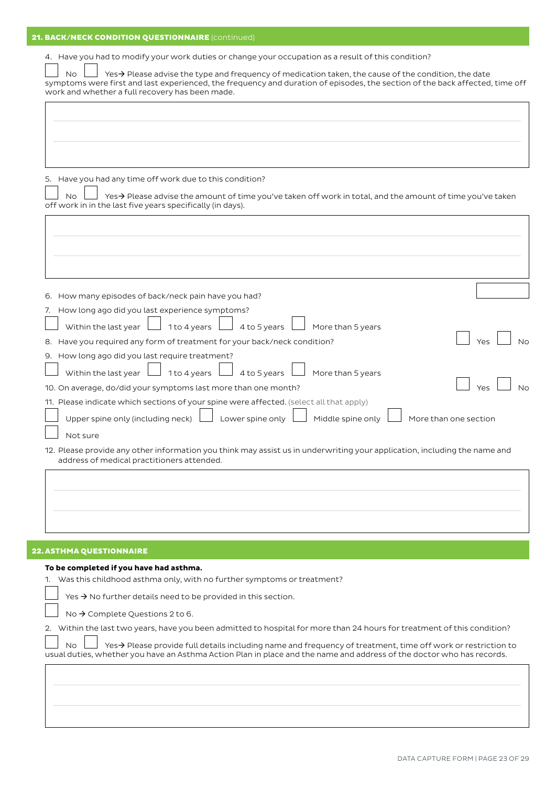# 21. BACK/NECK CONDITION QUESTIONNAIRE (continued)

| <b>No</b><br>1 to 4 years<br>4 to 5 years<br>Within the last year<br>More than 5 years<br>9. How long ago did you last require treatment?<br>1 to 4 years<br>Within the last year<br>4 to 5 years<br>More than 5 years<br>10. On average, do/did your symptoms last more than one month?<br>Yes<br>11. Please indicate which sections of your spine were affected. (select all that apply)<br>Upper spine only (including neck)<br>Lower spine only<br>Middle spine only<br>More than one section<br>Not sure<br>address of medical practitioners attended.<br>Yes $\rightarrow$ No further details need to be provided in this section.<br>No $\rightarrow$ Complete Questions 2 to 6.<br><b>No</b> | 4. Have you had to modify your work duties or change your occupation as a result of this condition?<br><b>No</b><br>Yes→ Please advise the type and frequency of medication taken, the cause of the condition, the date<br>symptoms were first and last experienced, the frequency and duration of episodes, the section of the back affected, time off<br>work and whether a full recovery has been made. |
|------------------------------------------------------------------------------------------------------------------------------------------------------------------------------------------------------------------------------------------------------------------------------------------------------------------------------------------------------------------------------------------------------------------------------------------------------------------------------------------------------------------------------------------------------------------------------------------------------------------------------------------------------------------------------------------------------|------------------------------------------------------------------------------------------------------------------------------------------------------------------------------------------------------------------------------------------------------------------------------------------------------------------------------------------------------------------------------------------------------------|
|                                                                                                                                                                                                                                                                                                                                                                                                                                                                                                                                                                                                                                                                                                      |                                                                                                                                                                                                                                                                                                                                                                                                            |
|                                                                                                                                                                                                                                                                                                                                                                                                                                                                                                                                                                                                                                                                                                      | 5. Have you had any time off work due to this condition?<br>$Yes \rightarrow$ Please advise the amount of time you've taken off work in total, and the amount of time you've taken<br>off work in in the last five years specifically (in days).                                                                                                                                                           |
|                                                                                                                                                                                                                                                                                                                                                                                                                                                                                                                                                                                                                                                                                                      |                                                                                                                                                                                                                                                                                                                                                                                                            |
|                                                                                                                                                                                                                                                                                                                                                                                                                                                                                                                                                                                                                                                                                                      | 6. How many episodes of back/neck pain have you had?                                                                                                                                                                                                                                                                                                                                                       |
|                                                                                                                                                                                                                                                                                                                                                                                                                                                                                                                                                                                                                                                                                                      | 7. How long ago did you last experience symptoms?                                                                                                                                                                                                                                                                                                                                                          |
|                                                                                                                                                                                                                                                                                                                                                                                                                                                                                                                                                                                                                                                                                                      |                                                                                                                                                                                                                                                                                                                                                                                                            |
|                                                                                                                                                                                                                                                                                                                                                                                                                                                                                                                                                                                                                                                                                                      | 8. Have you required any form of treatment for your back/neck condition?                                                                                                                                                                                                                                                                                                                                   |
|                                                                                                                                                                                                                                                                                                                                                                                                                                                                                                                                                                                                                                                                                                      |                                                                                                                                                                                                                                                                                                                                                                                                            |
|                                                                                                                                                                                                                                                                                                                                                                                                                                                                                                                                                                                                                                                                                                      |                                                                                                                                                                                                                                                                                                                                                                                                            |
|                                                                                                                                                                                                                                                                                                                                                                                                                                                                                                                                                                                                                                                                                                      | No                                                                                                                                                                                                                                                                                                                                                                                                         |
|                                                                                                                                                                                                                                                                                                                                                                                                                                                                                                                                                                                                                                                                                                      |                                                                                                                                                                                                                                                                                                                                                                                                            |
|                                                                                                                                                                                                                                                                                                                                                                                                                                                                                                                                                                                                                                                                                                      |                                                                                                                                                                                                                                                                                                                                                                                                            |
|                                                                                                                                                                                                                                                                                                                                                                                                                                                                                                                                                                                                                                                                                                      | 12. Please provide any other information you think may assist us in underwriting your application, including the name and                                                                                                                                                                                                                                                                                  |
|                                                                                                                                                                                                                                                                                                                                                                                                                                                                                                                                                                                                                                                                                                      |                                                                                                                                                                                                                                                                                                                                                                                                            |
|                                                                                                                                                                                                                                                                                                                                                                                                                                                                                                                                                                                                                                                                                                      |                                                                                                                                                                                                                                                                                                                                                                                                            |
|                                                                                                                                                                                                                                                                                                                                                                                                                                                                                                                                                                                                                                                                                                      | <b>22. ASTHMA QUESTIONNAIRE</b>                                                                                                                                                                                                                                                                                                                                                                            |
|                                                                                                                                                                                                                                                                                                                                                                                                                                                                                                                                                                                                                                                                                                      | To be completed if you have had asthma.<br>1. Was this childhood asthma only, with no further symptoms or treatment?                                                                                                                                                                                                                                                                                       |
|                                                                                                                                                                                                                                                                                                                                                                                                                                                                                                                                                                                                                                                                                                      |                                                                                                                                                                                                                                                                                                                                                                                                            |
|                                                                                                                                                                                                                                                                                                                                                                                                                                                                                                                                                                                                                                                                                                      |                                                                                                                                                                                                                                                                                                                                                                                                            |
|                                                                                                                                                                                                                                                                                                                                                                                                                                                                                                                                                                                                                                                                                                      | 2. Within the last two years, have you been admitted to hospital for more than 24 hours for treatment of this condition?                                                                                                                                                                                                                                                                                   |
|                                                                                                                                                                                                                                                                                                                                                                                                                                                                                                                                                                                                                                                                                                      | Yes→ Please provide full details including name and frequency of treatment, time off work or restriction to<br>usual duties, whether you have an Asthma Action Plan in place and the name and address of the doctor who has records.                                                                                                                                                                       |
|                                                                                                                                                                                                                                                                                                                                                                                                                                                                                                                                                                                                                                                                                                      |                                                                                                                                                                                                                                                                                                                                                                                                            |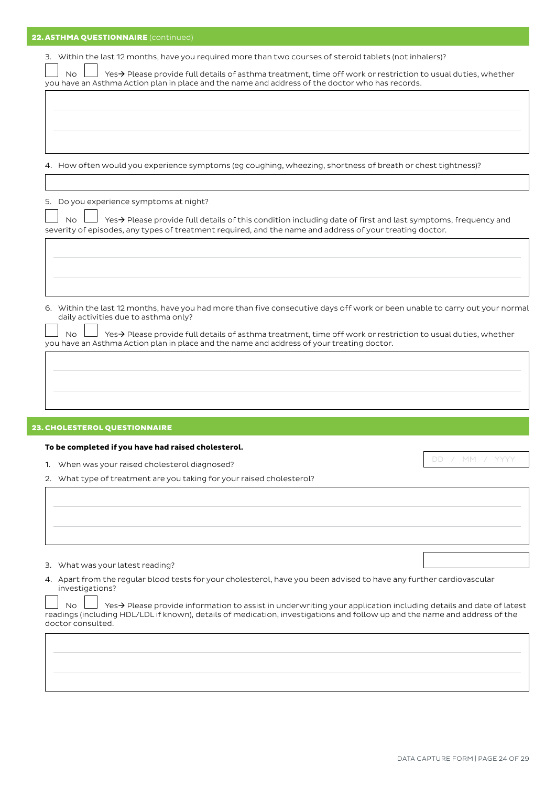| 22. ASTHMA QUESTIONNAIRE (continued)                                                                                                                                                                                                                 |                    |
|------------------------------------------------------------------------------------------------------------------------------------------------------------------------------------------------------------------------------------------------------|--------------------|
| 3. Within the last 12 months, have you required more than two courses of steroid tablets (not inhalers)?                                                                                                                                             |                    |
| Yes→ Please provide full details of asthma treatment, time off work or restriction to usual duties, whether<br>No.                                                                                                                                   |                    |
| you have an Asthma Action plan in place and the name and address of the doctor who has records.                                                                                                                                                      |                    |
|                                                                                                                                                                                                                                                      |                    |
|                                                                                                                                                                                                                                                      |                    |
|                                                                                                                                                                                                                                                      |                    |
| 4. How often would you experience symptoms (eg coughing, wheezing, shortness of breath or chest tightness)?                                                                                                                                          |                    |
|                                                                                                                                                                                                                                                      |                    |
| Do you experience symptoms at night?<br>5.                                                                                                                                                                                                           |                    |
| Yes > Please provide full details of this condition including date of first and last symptoms, frequency and<br><b>No</b>                                                                                                                            |                    |
| severity of episodes, any types of treatment required, and the name and address of your treating doctor.                                                                                                                                             |                    |
|                                                                                                                                                                                                                                                      |                    |
|                                                                                                                                                                                                                                                      |                    |
|                                                                                                                                                                                                                                                      |                    |
| 6. Within the last 12 months, have you had more than five consecutive days off work or been unable to carry out your normal                                                                                                                          |                    |
| daily activities due to asthma only?                                                                                                                                                                                                                 |                    |
| Yes→ Please provide full details of asthma treatment, time off work or restriction to usual duties, whether<br>No.<br>you have an Asthma Action plan in place and the name and address of your treating doctor.                                      |                    |
|                                                                                                                                                                                                                                                      |                    |
|                                                                                                                                                                                                                                                      |                    |
|                                                                                                                                                                                                                                                      |                    |
|                                                                                                                                                                                                                                                      |                    |
| 23. CHOLESTEROL QUESTIONNAIRE                                                                                                                                                                                                                        |                    |
| To be completed if you have had raised cholesterol.                                                                                                                                                                                                  |                    |
| 1. When was your raised cholesterol diagnosed?                                                                                                                                                                                                       | / MM / YYYY<br>DD. |
| 2. What type of treatment are you taking for your raised cholesterol?                                                                                                                                                                                |                    |
|                                                                                                                                                                                                                                                      |                    |
|                                                                                                                                                                                                                                                      |                    |
|                                                                                                                                                                                                                                                      |                    |
|                                                                                                                                                                                                                                                      |                    |
| 3. What was your latest reading?<br>4. Apart from the regular blood tests for your cholesterol, have you been advised to have any further cardiovascular                                                                                             |                    |
| investigations?                                                                                                                                                                                                                                      |                    |
| Yes→ Please provide information to assist in underwriting your application including details and date of latest<br>No.<br>readings (including HDL/LDL if known), details of medication, investigations and follow up and the name and address of the |                    |
| doctor consulted.                                                                                                                                                                                                                                    |                    |
|                                                                                                                                                                                                                                                      |                    |
|                                                                                                                                                                                                                                                      |                    |
|                                                                                                                                                                                                                                                      |                    |
|                                                                                                                                                                                                                                                      |                    |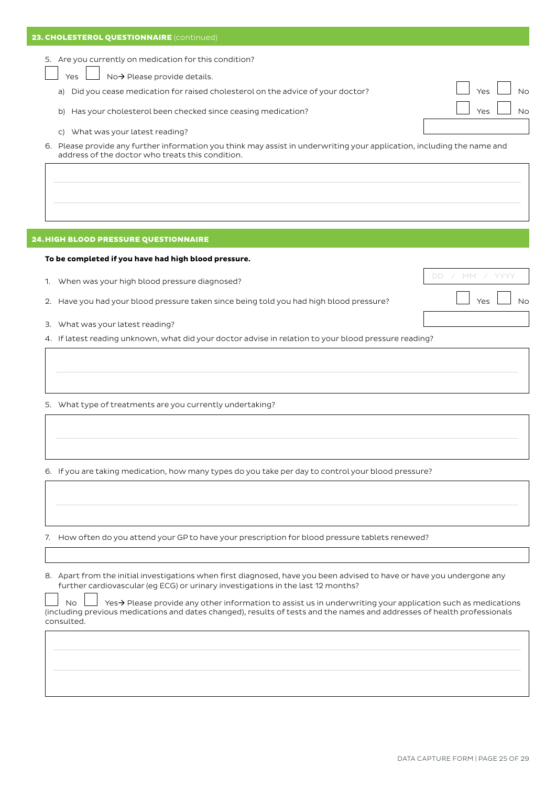| 23. CHOLESTEROL QUESTIONNAIRE (continued)                                                                                                                                      |                    |
|--------------------------------------------------------------------------------------------------------------------------------------------------------------------------------|--------------------|
| 5. Are you currently on medication for this condition?                                                                                                                         |                    |
| No→ Please provide details.<br>Yes                                                                                                                                             |                    |
|                                                                                                                                                                                | $V_{\mathbf{Q}}$ c |
| Did you cease medication for raised cholesterol on the advice of your doctor?<br>a)                                                                                            |                    |
| Has your cholesterol been checked since ceasing medication?<br>b)                                                                                                              | Vac                |
| What was your latest reading?<br>C)                                                                                                                                            |                    |
| Please provide any further information you think may assist in underwriting your application, including the name and<br>6.<br>address of the doctor who treats this condition. |                    |
|                                                                                                                                                                                |                    |

## 24.HIGH BLOOD PRESSURE QUESTIONNAIRE

#### **To be completed if you have had high blood pressure.**

- 1. When was your high blood pressure diagnosed? DO DO A MM  $\Box$
- 2. Have you had your blood pressure taken since being told you had high blood pressure?  $\Box$  Yes  $\Box$  No
- 3. What was your latest reading?
- 4. If latest reading unknown, what did your doctor advise in relation to your blood pressure reading?

5. What type of treatments are you currently undertaking?

6. If you are taking medication, how many types do you take per day to control your blood pressure?

7. How often do you attend your GP to have your prescription for blood pressure tablets renewed?

8. Apart from the initial investigations when first diagnosed, have you been advised to have or have you undergone any further cardiovascular (eg ECG) or urinary investigations in the last 12 months?

| No $\Box$ Yes > Please provide any other information to assist us in underwriting your application such as medications   |
|--------------------------------------------------------------------------------------------------------------------------|
| (including previous medications and dates changed), results of tests and the names and addresses of health professionals |
| consulted.                                                                                                               |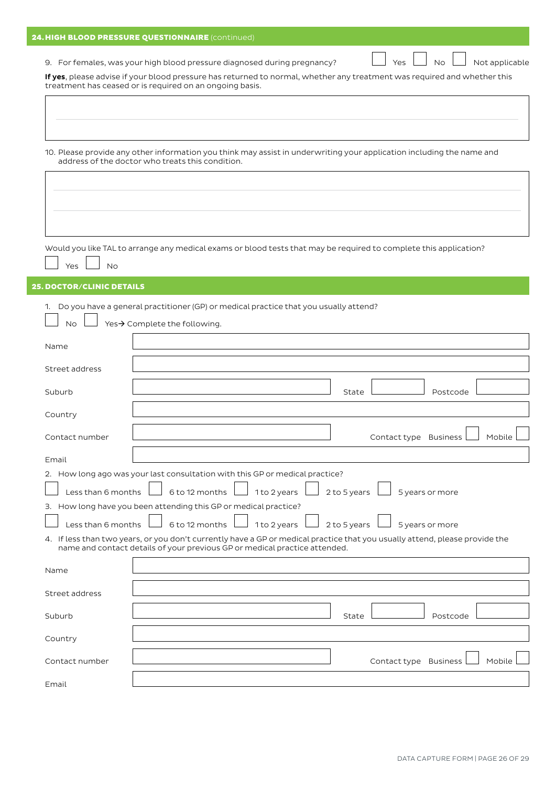|  | <b>24. HIGH BLOOD PRESSURE QUESTIONNAIRE</b> (continued) |  |
|--|----------------------------------------------------------|--|
|  |                                                          |  |

9. For females, was your high blood pressure diagnosed during pregnancy?  $\Box$  Yes  $\Box$  No  $\Box$  Not applicable

**If yes**, please advise if your blood pressure has returned to normal, whether any treatment was required and whether this treatment has ceased or is required on an ongoing basis.

| 10. Please provide any other information you think may assist in underwriting your application including the name and                 | address of the doctor who treats this condition.                           |              |              |                       |                 |        |
|---------------------------------------------------------------------------------------------------------------------------------------|----------------------------------------------------------------------------|--------------|--------------|-----------------------|-----------------|--------|
|                                                                                                                                       |                                                                            |              |              |                       |                 |        |
|                                                                                                                                       |                                                                            |              |              |                       |                 |        |
| Would you like TAL to arrange any medical exams or blood tests that may be required to complete this application?<br><b>No</b><br>Yes |                                                                            |              |              |                       |                 |        |
| <b>25. DOCTOR/CLINIC DETAILS</b>                                                                                                      |                                                                            |              |              |                       |                 |        |
| 1. Do you have a general practitioner (GP) or medical practice that you usually attend?<br><b>No</b>                                  | Yes→ Complete the following.                                               |              |              |                       |                 |        |
| Name                                                                                                                                  |                                                                            |              |              |                       |                 |        |
| Street address                                                                                                                        |                                                                            |              |              |                       |                 |        |
| Suburb                                                                                                                                |                                                                            |              | State        |                       | Postcode        |        |
| Country                                                                                                                               |                                                                            |              |              |                       |                 |        |
| Contact number                                                                                                                        |                                                                            |              |              | Contact type Business |                 | Mobile |
| Email                                                                                                                                 |                                                                            |              |              |                       |                 |        |
| 2. How long ago was your last consultation with this GP or medical practice?<br>Less than 6 months                                    | 6 to 12 months                                                             | 1 to 2 years | 2 to 5 years |                       | 5 years or more |        |
| 3. How long have you been attending this GP or medical practice?                                                                      |                                                                            |              |              |                       |                 |        |
| Less than 6 months                                                                                                                    | 6 to 12 months                                                             | 1 to 2 years | 2 to 5 years |                       | 5 years or more |        |
| 4. If less than two years, or you don't currently have a GP or medical practice that you usually attend, please provide the           | name and contact details of your previous GP or medical practice attended. |              |              |                       |                 |        |
| Name                                                                                                                                  |                                                                            |              |              |                       |                 |        |
| Street address                                                                                                                        |                                                                            |              |              |                       |                 |        |
| Suburb                                                                                                                                |                                                                            |              | State        |                       | Postcode        |        |
| Country                                                                                                                               |                                                                            |              |              |                       |                 |        |
| Contact number                                                                                                                        |                                                                            |              |              | Contact type Business |                 | Mobile |
| Email                                                                                                                                 |                                                                            |              |              |                       |                 |        |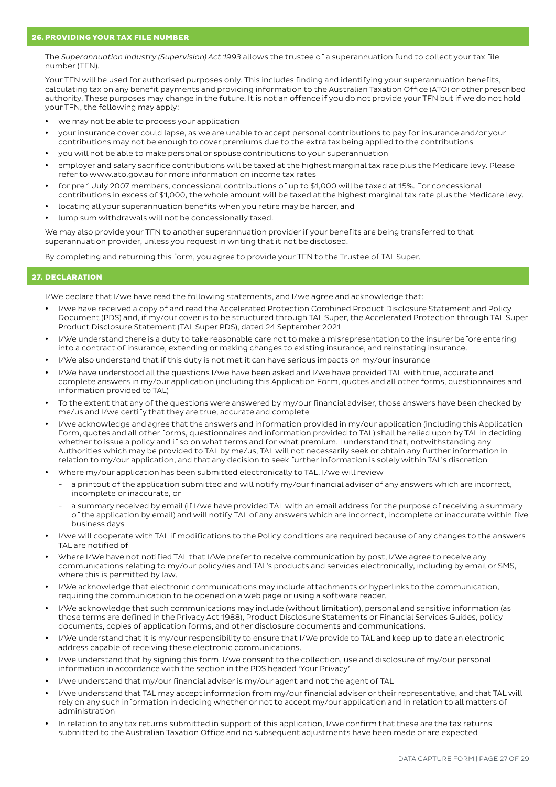The *Superannuation Industry (Supervision) Act 1993* allows the trustee of a superannuation fund to collect your tax file number (TFN).

Your TFN will be used for authorised purposes only. This includes finding and identifying your superannuation benefits, calculating tax on any benefit payments and providing information to the Australian Taxation Office (ATO) or other prescribed authority. These purposes may change in the future. It is not an offence if you do not provide your TFN but if we do not hold your TFN, the following may apply:

- we may not be able to process your application
- y your insurance cover could lapse, as we are unable to accept personal contributions to pay for insurance and/or your contributions may not be enough to cover premiums due to the extra tax being applied to the contributions
- y you will not be able to make personal or spouse contributions to your superannuation
- employer and salary sacrifice contributions will be taxed at the highest marginal tax rate plus the Medicare levy. Please refer to www.ato.gov.au for more information on income tax rates
- for pre 1 July 2007 members, concessional contributions of up to \$1,000 will be taxed at 15%. For concessional contributions in excess of \$1,000, the whole amount will be taxed at the highest marginal tax rate plus the Medicare levy.
- locating all your superannuation benefits when you retire may be harder, and
- lump sum withdrawals will not be concessionally taxed.

We may also provide your TFN to another superannuation provider if your benefits are being transferred to that superannuation provider, unless you request in writing that it not be disclosed.

By completing and returning this form, you agree to provide your TFN to the Trustee of TAL Super.

## 27. DECLARATION

I/We declare that I/we have read the following statements, and I/we agree and acknowledge that:

- I/we have received a copy of and read the Accelerated Protection Combined Product Disclosure Statement and Policy Document (PDS) and, if my/our cover is to be structured through TAL Super, the Accelerated Protection through TAL Super Product Disclosure Statement (TAL Super PDS), dated 24 September 2021
- I/We understand there is a duty to take reasonable care not to make a misrepresentation to the insurer before entering into a contract of insurance, extending or making changes to existing insurance, and reinstating insurance.
- I/We also understand that if this duty is not met it can have serious impacts on my/our insurance
- I/We have understood all the questions I/we have been asked and I/we have provided TAL with true, accurate and complete answers in my/our application (including this Application Form, quotes and all other forms, questionnaires and information provided to TAL)
- To the extent that any of the questions were answered by my/our financial adviser, those answers have been checked by me/us and I/we certify that they are true, accurate and complete
- I/we acknowledge and agree that the answers and information provided in my/our application (including this Application Form, quotes and all other forms, questionnaires and information provided to TAL) shall be relied upon by TAL in deciding whether to issue a policy and if so on what terms and for what premium. I understand that, notwithstanding any Authorities which may be provided to TAL by me/us, TAL will not necessarily seek or obtain any further information in relation to my/our application, and that any decision to seek further information is solely within TAL's discretion
- y Where my/our application has been submitted electronically to TAL, I/we will review
	- a printout of the application submitted and will notify my/our financial adviser of any answers which are incorrect, incomplete or inaccurate, or
	- a summary received by email (if I/we have provided TAL with an email address for the purpose of receiving a summary of the application by email) and will notify TAL of any answers which are incorrect, incomplete or inaccurate within five business days
- I/we will cooperate with TAL if modifications to the Policy conditions are required because of any changes to the answers TAL are notified of
- Where I/We have not notified TAL that I/We prefer to receive communication by post, I/We agree to receive any communications relating to my/our policy/ies and TAL's products and services electronically, including by email or SMS, where this is permitted by law.
- I/We acknowledge that electronic communications may include attachments or hyperlinks to the communication, requiring the communication to be opened on a web page or using a software reader.
- I/We acknowledge that such communications may include (without limitation), personal and sensitive information (as those terms are defined in the Privacy Act 1988), Product Disclosure Statements or Financial Services Guides, policy documents, copies of application forms, and other disclosure documents and communications.
- I/We understand that it is my/our responsibility to ensure that I/We provide to TAL and keep up to date an electronic address capable of receiving these electronic communications.
- I/we understand that by signing this form, I/we consent to the collection, use and disclosure of my/our personal information in accordance with the section in the PDS headed 'Your Privacy'
- I/we understand that my/our financial adviser is my/our agent and not the agent of TAL
- I/we understand that TAL may accept information from my/our financial adviser or their representative, and that TAL will rely on any such information in deciding whether or not to accept my/our application and in relation to all matters of administration
- In relation to any tax returns submitted in support of this application, I/we confirm that these are the tax returns submitted to the Australian Taxation Office and no subsequent adjustments have been made or are expected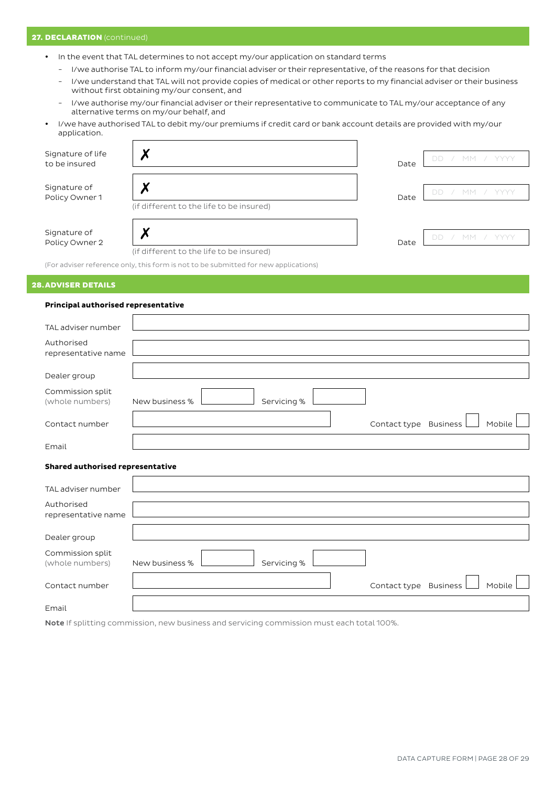## 27. DECLARATION (continued)

- In the event that TAL determines to not accept my/our application on standard terms
	- I/we authorise TAL to inform my/our financial adviser or their representative, of the reasons for that decision
	- I/we understand that TAL will not provide copies of medical or other reports to my financial adviser or their business without first obtaining my/our consent, and
	- I/we authorise my/our financial adviser or their representative to communicate to TAL my/our acceptance of any alternative terms on my/our behalf, and
- I/we have authorised TAL to debit my/our premiums if credit card or bank account details are provided with my/our application.

| Signature of life<br>to be insured |                                                                                     | Date | DD |
|------------------------------------|-------------------------------------------------------------------------------------|------|----|
| Signature of<br>Policy Owner 1     | (if different to the life to be insured)                                            | Date | DE |
| Signature of<br>Policy Owner 2     | (if different to the life to be insured)                                            | Date | DD |
|                                    | (For adviser reference only, this form is not to be submitted for new applications) |      |    |

# 28.ADVISER DETAILS

## **Principal authorised representative**

| TAL adviser number                  |                |             |                       |        |
|-------------------------------------|----------------|-------------|-----------------------|--------|
| Authorised                          |                |             |                       |        |
| representative name                 |                |             |                       |        |
| Dealer group                        |                |             |                       |        |
| Commission split<br>(whole numbers) | New business % | Servicing%  |                       |        |
| Contact number                      |                |             | Contact type Business | Mobile |
| Email                               |                |             |                       |        |
| Shared authorised representative    |                |             |                       |        |
| TAL adviser number                  |                |             |                       |        |
| Authorised<br>representative name   |                |             |                       |        |
| Dealer group                        |                |             |                       |        |
| Commission split<br>(whole numbers) | New business % | Servicing % |                       |        |
| Contact number                      |                |             | Contact type Business | Mobile |
| Email                               |                |             |                       |        |

Note If splitting commission, new business and servicing commission must each total 100%.